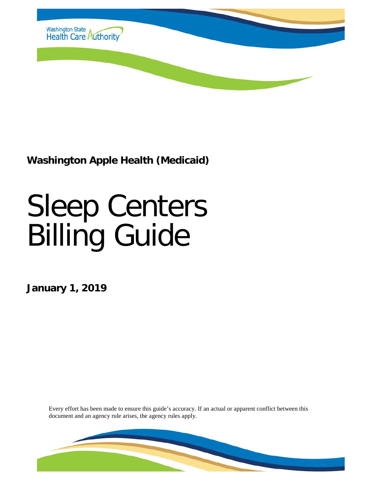

**Washington Apple Health (Medicaid)**

# Sleep Centers Billing Guide

**January 1, 2019**

Every effort has been made to ensure this guide's accuracy. If an actual or apparent conflict between this document and an agency rule arises, the agency rules apply.

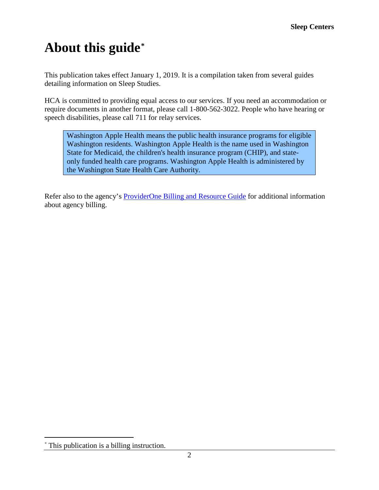# <span id="page-1-1"></span>**About this guide[\\*](#page-1-0)**

This publication takes effect January 1, 2019. It is a compilation taken from several guides detailing information on Sleep Studies.

HCA is committed to providing equal access to our services. If you need an accommodation or require documents in another format, please call 1-800-562-3022. People who have hearing or speech disabilities, please call 711 for relay services.

Washington Apple Health means the public health insurance programs for eligible Washington residents. Washington Apple Health is the name used in Washington State for Medicaid, the children's health insurance program (CHIP), and stateonly funded health care programs. Washington Apple Health is administered by the Washington State Health Care Authority.

Refer also to the agency's [ProviderOne Billing and Resource Guide](http://www.hca.wa.gov/node/311) for additional information about agency billing.

 $\overline{a}$ 

<span id="page-1-0"></span>This publication is a billing instruction.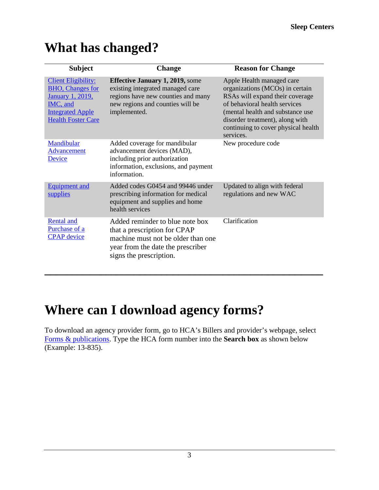| <b>Subject</b>                                                                                                                                        | <b>Change</b>                                                                                                                                                         | <b>Reason for Change</b>                                                                                                                                                                                                                                    |
|-------------------------------------------------------------------------------------------------------------------------------------------------------|-----------------------------------------------------------------------------------------------------------------------------------------------------------------------|-------------------------------------------------------------------------------------------------------------------------------------------------------------------------------------------------------------------------------------------------------------|
| <b>Client Eligibility:</b><br><b>BHO</b> , Changes for<br><b>January 1, 2019,</b><br>IMC, and<br><b>Integrated Apple</b><br><b>Health Foster Care</b> | <b>Effective January 1, 2019, some</b><br>existing integrated managed care<br>regions have new counties and many<br>new regions and counties will be<br>implemented.  | Apple Health managed care<br>organizations (MCOs) in certain<br>RSAs will expand their coverage<br>of behavioral health services<br>(mental health and substance use<br>disorder treatment), along with<br>continuing to cover physical health<br>services. |
| <b>Mandibular</b><br>Advancement<br>Device                                                                                                            | Added coverage for mandibular<br>advancement devices (MAD),<br>including prior authorization<br>information, exclusions, and payment<br>information.                  | New procedure code                                                                                                                                                                                                                                          |
| <b>Equipment and</b><br>supplies                                                                                                                      | Added codes G0454 and 99446 under<br>prescribing information for medical<br>equipment and supplies and home<br>health services                                        | Updated to align with federal<br>regulations and new WAC                                                                                                                                                                                                    |
| <b>Rental and</b><br>Purchase of a<br><b>CPAP</b> device                                                                                              | Added reminder to blue note box<br>that a prescription for CPAP<br>machine must not be older than one<br>year from the date the prescriber<br>signs the prescription. | Clarification                                                                                                                                                                                                                                               |

# <span id="page-2-0"></span>**What has changed?**

## <span id="page-2-1"></span>**Where can I download agency forms?**

To download an agency provider form, go to HCA's Billers and provider's webpage, select [Forms & publications.](http://www.hca.wa.gov/billers-providers/forms-and-publications) Type the HCA form number into the **Search box** as shown below (Example: 13-835).

**\_\_\_\_\_\_\_\_\_\_\_\_\_\_\_\_\_\_\_\_\_\_\_\_\_\_\_\_\_\_\_\_\_\_\_\_\_\_\_\_\_\_\_\_\_\_\_\_\_\_**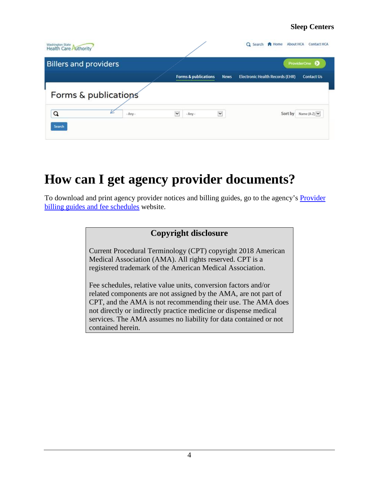#### **Sleep Centers**

| <b>Billers and providers</b> | <b>Forms &amp; publications</b> | ProviderOne                                                                |
|------------------------------|---------------------------------|----------------------------------------------------------------------------|
|                              |                                 |                                                                            |
|                              |                                 | <b>Electronic Health Records (EHR)</b><br><b>Contact Us</b><br><b>News</b> |
| Forms & publications         |                                 |                                                                            |
| Q<br>$-Arry -$               | $\checkmark$<br>$-Arry -$       | $\check{}$<br>Sort by Name (A-Z) V                                         |

## <span id="page-3-0"></span>**How can I get agency provider documents?**

To download and print agency provider notices and billing guides, go to the agency's [Provider](https://www.hca.wa.gov/billers-providers-partners/prior-authorization-claims-and-billing/provider-billing-guides-and-fee-schedules)  [billing guides and fee schedules](https://www.hca.wa.gov/billers-providers-partners/prior-authorization-claims-and-billing/provider-billing-guides-and-fee-schedules) website.

#### **Copyright disclosure**

Current Procedural Terminology (CPT) copyright 2018 American Medical Association (AMA). All rights reserved. CPT is a registered trademark of the American Medical Association.

Fee schedules, relative value units, conversion factors and/or related components are not assigned by the AMA, are not part of CPT, and the AMA is not recommending their use. The AMA does not directly or indirectly practice medicine or dispense medical services. The AMA assumes no liability for data contained or not contained herein.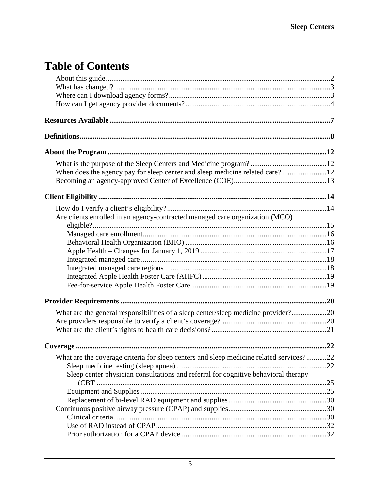## **Table of Contents**

| When does the agency pay for sleep center and sleep medicine related care?12            |  |
|-----------------------------------------------------------------------------------------|--|
|                                                                                         |  |
|                                                                                         |  |
|                                                                                         |  |
| Are clients enrolled in an agency-contracted managed care organization (MCO)            |  |
|                                                                                         |  |
|                                                                                         |  |
|                                                                                         |  |
|                                                                                         |  |
|                                                                                         |  |
|                                                                                         |  |
|                                                                                         |  |
|                                                                                         |  |
|                                                                                         |  |
| What are the general responsibilities of a sleep center/sleep medicine provider?20      |  |
|                                                                                         |  |
|                                                                                         |  |
|                                                                                         |  |
|                                                                                         |  |
| What are the coverage criteria for sleep centers and sleep medicine related services?22 |  |
| Sleep center physician consultations and referral for cognitive behavioral therapy      |  |
|                                                                                         |  |
|                                                                                         |  |
|                                                                                         |  |
|                                                                                         |  |
|                                                                                         |  |
|                                                                                         |  |
|                                                                                         |  |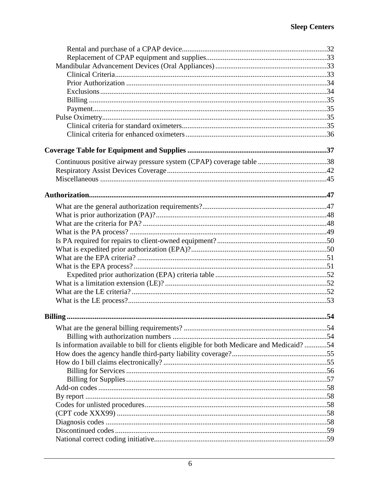| Continuous positive airway pressure system (CPAP) coverage table 38                     |  |
|-----------------------------------------------------------------------------------------|--|
|                                                                                         |  |
|                                                                                         |  |
|                                                                                         |  |
|                                                                                         |  |
|                                                                                         |  |
|                                                                                         |  |
|                                                                                         |  |
|                                                                                         |  |
|                                                                                         |  |
|                                                                                         |  |
|                                                                                         |  |
|                                                                                         |  |
|                                                                                         |  |
|                                                                                         |  |
|                                                                                         |  |
|                                                                                         |  |
|                                                                                         |  |
|                                                                                         |  |
| Is information available to bill for clients eligible for both Medicare and Medicaid?54 |  |
|                                                                                         |  |
|                                                                                         |  |
|                                                                                         |  |
|                                                                                         |  |
|                                                                                         |  |
|                                                                                         |  |
|                                                                                         |  |
|                                                                                         |  |
|                                                                                         |  |
|                                                                                         |  |
|                                                                                         |  |
|                                                                                         |  |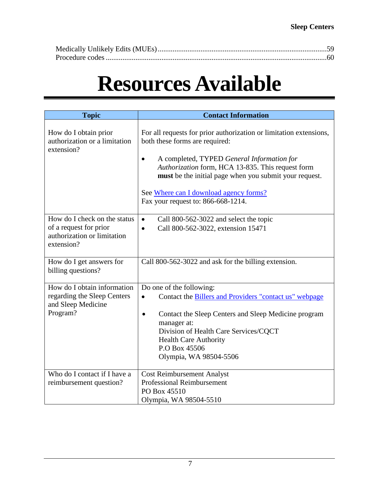<span id="page-6-0"></span>

# **Resources Available**

| <b>Topic</b>                                                                                        | <b>Contact Information</b>                                                                                                                                                                                                                                                                                                                                     |  |
|-----------------------------------------------------------------------------------------------------|----------------------------------------------------------------------------------------------------------------------------------------------------------------------------------------------------------------------------------------------------------------------------------------------------------------------------------------------------------------|--|
| How do I obtain prior<br>authorization or a limitation<br>extension?                                | For all requests for prior authorization or limitation extensions,<br>both these forms are required:<br>A completed, TYPED General Information for<br>$\bullet$<br>Authorization form, HCA 13-835. This request form<br>must be the initial page when you submit your request.<br>See Where can I download agency forms?<br>Fax your request to: 866-668-1214. |  |
| How do I check on the status<br>of a request for prior<br>authorization or limitation<br>extension? | Call 800-562-3022 and select the topic<br>$\bullet$<br>Call 800-562-3022, extension 15471<br>$\bullet$                                                                                                                                                                                                                                                         |  |
| How do I get answers for<br>billing questions?                                                      | Call 800-562-3022 and ask for the billing extension.                                                                                                                                                                                                                                                                                                           |  |
| How do I obtain information<br>regarding the Sleep Centers<br>and Sleep Medicine<br>Program?        | Do one of the following:<br>Contact the Billers and Providers "contact us" webpage<br>$\bullet$<br>Contact the Sleep Centers and Sleep Medicine program<br>$\bullet$<br>manager at:<br>Division of Health Care Services/CQCT<br><b>Health Care Authority</b><br>P.O Box 45506<br>Olympia, WA 98504-5506                                                        |  |
| Who do I contact if I have a<br>reimbursement question?                                             | <b>Cost Reimbursement Analyst</b><br><b>Professional Reimbursement</b><br>PO Box 45510<br>Olympia, WA 98504-5510                                                                                                                                                                                                                                               |  |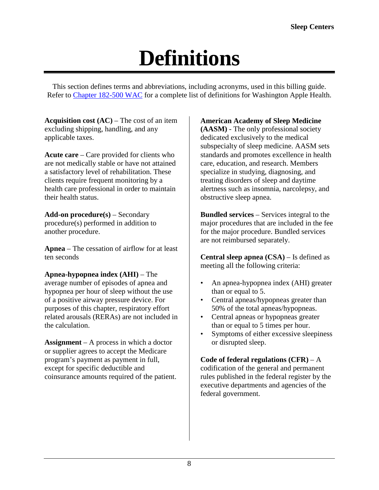# **Definitions**

<span id="page-7-0"></span>This section defines terms and abbreviations, including acronyms, used in this billing guide. Refer to [Chapter 182-500 WAC](http://app.leg.wa.gov/WAC/default.aspx?cite=182-500) for a complete list of definitions for Washington Apple Health.

**Acquisition cost (AC)** – The cost of an item excluding shipping, handling, and any applicable taxes.

**Acute care** – Care provided for clients who are not medically stable or have not attained a satisfactory level of rehabilitation. These clients require frequent monitoring by a health care professional in order to maintain their health status.

**Add-on procedure(s)** – Secondary procedure(s) performed in addition to another procedure.

**Apnea** – The cessation of airflow for at least ten seconds

#### **Apnea-hypopnea index (AHI)** – The

average number of episodes of apnea and hypopnea per hour of sleep without the use of a positive airway pressure device. For purposes of this chapter, respiratory effort related arousals (RERAs) are not included in the calculation.

**Assignment** – A process in which a doctor or supplier agrees to accept the Medicare program's payment as payment in full, except for specific deductible and coinsurance amounts required of the patient.

#### **American Academy of Sleep Medicine**

**(AASM)** - The only professional society dedicated exclusively to the medical subspecialty of sleep medicine. AASM sets standards and promotes excellence in health care, education, and research. Members specialize in studying, diagnosing, and treating disorders of sleep and daytime alertness such as insomnia, narcolepsy, and obstructive sleep apnea.

**Bundled services** – Services integral to the major procedures that are included in the fee for the major procedure. Bundled services are not reimbursed separately.

**Central sleep apnea (CSA)** – Is defined as meeting all the following criteria:

- An apnea-hypopnea index (AHI) greater than or equal to 5.
- Central apneas/hypopneas greater than 50% of the total apneas/hypopneas.
- Central apneas or hypopneas greater than or equal to 5 times per hour.
- Symptoms of either excessive sleepiness or disrupted sleep.

**Code of federal regulations (CFR)** – A codification of the general and permanent rules published in the federal register by the executive departments and agencies of the federal government.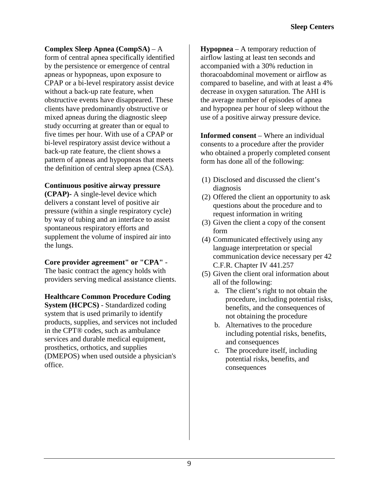#### **Complex Sleep Apnea (CompSA)** – A

form of central apnea specifically identified by the persistence or emergence of central apneas or hypopneas, upon exposure to CPAP or a bi-level respiratory assist device without a back-up rate feature, when obstructive events have disappeared. These clients have predominantly obstructive or mixed apneas during the diagnostic sleep study occurring at greater than or equal to five times per hour. With use of a CPAP or bi-level respiratory assist device without a back-up rate feature, the client shows a pattern of apneas and hypopneas that meets the definition of central sleep apnea (CSA).

#### **Continuous positive airway pressure**

**(CPAP)-** A single-level device which delivers a constant level of positive air pressure (within a single respiratory cycle) by way of tubing and an interface to assist spontaneous respiratory efforts and supplement the volume of inspired air into the lungs.

#### **Core provider agreement" or "CPA"** -

The basic contract the agency holds with providers serving medical assistance clients.

**Healthcare Common Procedure Coding System (HCPCS)** - Standardized coding system that is used primarily to identify products, supplies, and services not included in the CPT® codes, such as ambulance services and durable medical equipment, prosthetics, orthotics, and supplies (DMEPOS) when used outside a physician's office.

**Hypopnea** – A temporary reduction of airflow lasting at least ten seconds and accompanied with a 30% reduction in thoracoabdominal movement or airflow as compared to baseline, and with at least a 4% decrease in oxygen saturation. The AHI is the average number of episodes of apnea and hypopnea per hour of sleep without the use of a positive airway pressure device.

**Informed consent** – Where an individual consents to a procedure after the provider who obtained a properly completed consent form has done all of the following:

- (1) Disclosed and discussed the client's diagnosis
- (2) Offered the client an opportunity to ask questions about the procedure and to request information in writing
- (3) Given the client a copy of the consent form
- (4) Communicated effectively using any language interpretation or special communication device necessary per 42 C.F.R. Chapter IV 441.257
- (5) Given the client oral information about all of the following:
	- a. The client's right to not obtain the procedure, including potential risks, benefits, and the consequences of not obtaining the procedure
	- b. Alternatives to the procedure including potential risks, benefits, and consequences
	- c. The procedure itself, including potential risks, benefits, and consequences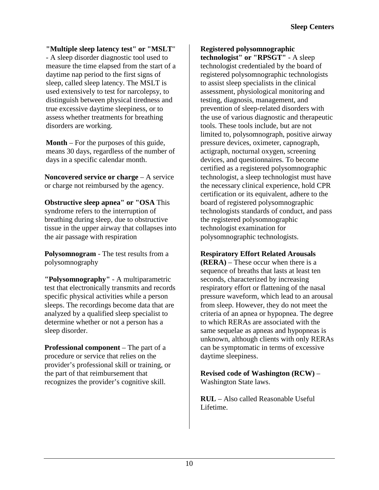**"Multiple sleep latency test" or "MSLT**"

- A sleep disorder diagnostic tool used to measure the time elapsed from the start of a daytime nap period to the first signs of sleep, called sleep latency. The MSLT is used extensively to test for narcolepsy, to distinguish between physical tiredness and true excessive daytime sleepiness, or to assess whether treatments for breathing disorders are working.

**Month** – For the purposes of this guide, means 30 days, regardless of the number of days in a specific calendar month.

**Noncovered service or charge** – A service or charge not reimbursed by the agency.

**Obstructive sleep apnea" or "OSA** This syndrome refers to the interruption of breathing during sleep, due to obstructive tissue in the upper airway that collapses into the air passage with respiration

**Polysomnogram** - The test results from a polysomnography

**"Polysomnography"** - A multiparametric test that electronically transmits and records specific physical activities while a person sleeps. The recordings become data that are analyzed by a qualified sleep specialist to determine whether or not a person has a sleep disorder.

**Professional component** – The part of a procedure or service that relies on the provider's professional skill or training, or the part of that reimbursement that recognizes the provider's cognitive skill.

**Registered polysomnographic** 

**technologist" or "RPSGT"** - A sleep technologist credentialed by the board of registered polysomnographic technologists to assist sleep specialists in the clinical assessment, physiological monitoring and testing, diagnosis, management, and prevention of sleep-related disorders with the use of various diagnostic and therapeutic tools. These tools include, but are not limited to, polysomnograph, positive airway pressure devices, oximeter, capnograph, actigraph, nocturnal oxygen, screening devices, and questionnaires. To become certified as a registered polysomnographic technologist, a sleep technologist must have the necessary clinical experience, hold CPR certification or its equivalent, adhere to the board of registered polysomnographic technologists standards of conduct, and pass the registered polysomnographic technologist examination for polysomnographic technologists.

**Respiratory Effort Related Arousals** 

**(RERA)** – These occur when there is a sequence of breaths that lasts at least ten seconds, characterized by increasing respiratory effort or flattening of the nasal pressure waveform, which lead to an arousal from sleep. However, they do not meet the criteria of an apnea or hypopnea. The degree to which RERAs are associated with the same sequelae as apneas and hypopneas is unknown, although clients with only RERAs can be symptomatic in terms of excessive daytime sleepiness.

**Revised code of Washington (RCW)** – Washington State laws.

**RUL** – Also called Reasonable Useful Lifetime.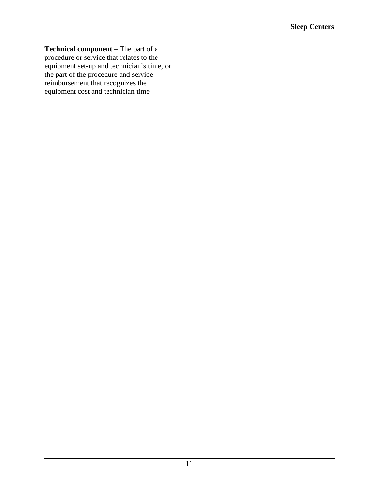#### **Technical component** – The part of a procedure or service that relates to the equipment set-up and technician's time, or the part of the procedure and service reimbursement that recognizes the equipment cost and technician time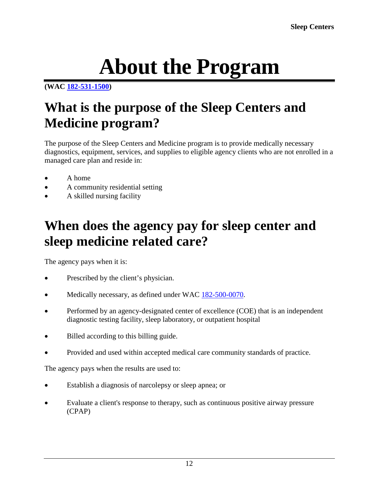# **About the Program**

<span id="page-11-0"></span>**(WAC [182-531-1500\)](http://apps.leg.wa.gov/WAC/default.aspx?cite=182-531-1500)**

# <span id="page-11-1"></span>**What is the purpose of the Sleep Centers and Medicine program?**

The purpose of the Sleep Centers and Medicine program is to provide medically necessary diagnostics, equipment, services, and supplies to eligible agency clients who are not enrolled in a managed care plan and reside in:

- A home
- A community residential setting
- A skilled nursing facility

# <span id="page-11-2"></span>**When does the agency pay for sleep center and sleep medicine related care?**

The agency pays when it is:

- Prescribed by the client's physician.
- Medically necessary, as defined under WAC [182-500-0070.](http://app.leg.wa.gov/wac/default.aspx?cite=182-500-0070)
- Performed by an agency-designated center of excellence (COE) that is an independent diagnostic testing facility, sleep laboratory, or outpatient hospital
- Billed according to this billing guide.
- Provided and used within accepted medical care community standards of practice.

The agency pays when the results are used to:

- Establish a diagnosis of narcolepsy or sleep apnea; or
- Evaluate a client's response to therapy, such as continuous positive airway pressure (CPAP)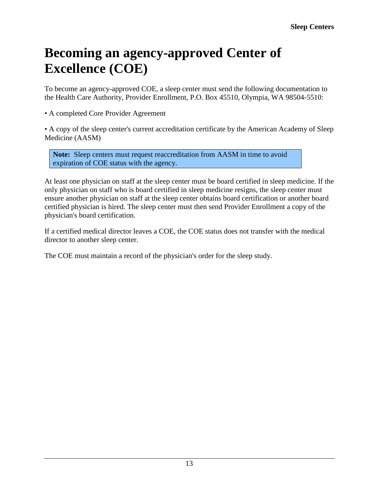# <span id="page-12-0"></span>**Becoming an agency-approved Center of Excellence (COE)**

To become an agency-approved COE, a sleep center must send the following documentation to the Health Care Authority, Provider Enrollment, P.O. Box 45510, Olympia, WA 98504-5510:

• A completed Core Provider Agreement

• A copy of the sleep center's current accreditation certificate by the American Academy of Sleep Medicine (AASM)

**Note:** Sleep centers must request reaccreditation from AASM in time to avoid expiration of COE status with the agency.

At least one physician on staff at the sleep center must be board certified in sleep medicine. If the only physician on staff who is board certified in sleep medicine resigns, the sleep center must ensure another physician on staff at the sleep center obtains board certification or another board certified physician is hired. The sleep center must then send Provider Enrollment a copy of the physician's board certification.

If a certified medical director leaves a COE, the COE status does not transfer with the medical director to another sleep center.

The COE must maintain a record of the physician's order for the sleep study.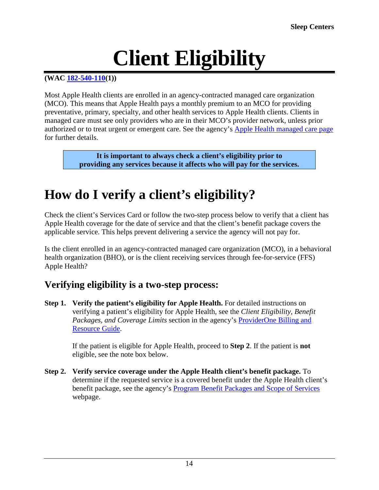# **Client Eligibility**

#### <span id="page-13-0"></span>**(WAC [182-540-110\(](http://app.leg.wa.gov/wac/default.aspx?cite=182-540-110)1))**

Most Apple Health clients are enrolled in an agency-contracted managed care organization (MCO). This means that Apple Health pays a monthly premium to an MCO for providing preventative, primary, specialty, and other health services to Apple Health clients. Clients in managed care must see only providers who are in their MCO's provider network, unless prior authorized or to treat urgent or emergent care. See the agency's [Apple Health managed care page](https://www.hca.wa.gov/billers-providers/programs-and-services/managed-care) for further details.

> **It is important to always check a client's eligibility prior to providing any services because it affects who will pay for the services.**

# <span id="page-13-1"></span>**How do I verify a client's eligibility?**

Check the client's Services Card or follow the two-step process below to verify that a client has Apple Health coverage for the date of service and that the client's benefit package covers the applicable service. This helps prevent delivering a service the agency will not pay for.

Is the client enrolled in an agency-contracted managed care organization (MCO), in a behavioral health organization (BHO), or is the client receiving services through fee-for-service (FFS) Apple Health?

#### **Verifying eligibility is a two-step process:**

**Step 1. Verify the patient's eligibility for Apple Health.** For detailed instructions on verifying a patient's eligibility for Apple Health, see the *Client Eligibility, Benefit Packages, and Coverage Limits* section in the agency's [ProviderOne Billing and](http://www.hca.wa.gov/node/311)  [Resource](http://www.hca.wa.gov/node/311) Guide.

> If the patient is eligible for Apple Health, proceed to **Step 2**. If the patient is **not** eligible, see the note box below.

**Step 2. Verify service coverage under the Apple Health client's benefit package.** To determine if the requested service is a covered benefit under the Apple Health client's benefit package, see the agency's [Program Benefit Packages and Scope of Services](http://www.hca.wa.gov/node/2391) webpage.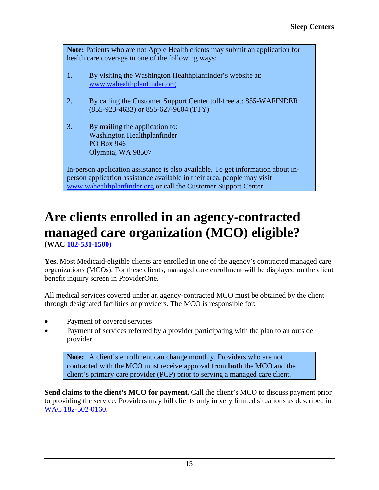**Note:** Patients who are not Apple Health clients may submit an application for health care coverage in one of the following ways:

- 1. By visiting the Washington Healthplanfinder's website at: [www.wahealthplanfinder.org](http://www.wahealthplanfinder.org/)
- 2. By calling the Customer Support Center toll-free at: 855-WAFINDER (855-923-4633) or 855-627-9604 (TTY)
- 3. By mailing the application to: Washington Healthplanfinder PO Box 946 Olympia, WA 98507

In-person application assistance is also available. To get information about inperson application assistance available in their area, people may visit [www.wahealthplanfinder.org](http://www.wahealthplanfinder.org/) or call the Customer Support Center.

### <span id="page-14-0"></span>**Are clients enrolled in an agency-contracted managed care organization (MCO) eligible? (WAC [182-531-1500\)](http://apps.leg.wa.gov/wac/default.aspx?cite=182-531-1500)**

**Yes.** Most Medicaid-eligible clients are enrolled in one of the agency's contracted managed care organizations (MCOs). For these clients, managed care enrollment will be displayed on the client benefit inquiry screen in ProviderOne.

All medical services covered under an agency-contracted MCO must be obtained by the client through designated facilities or providers. The MCO is responsible for:

- Payment of covered services
- Payment of services referred by a provider participating with the plan to an outside provider

**Note:** A client's enrollment can change monthly. Providers who are not contracted with the MCO must receive approval from **both** the MCO and the client's primary care provider (PCP) prior to serving a managed care client.

**Send claims to the client's MCO for payment.** Call the client's MCO to discuss payment prior to providing the service. Providers may bill clients only in very limited situations as described in [WAC 182-502-0160.](http://apps.leg.wa.gov/wac/default.aspx?cite=182-502-0160)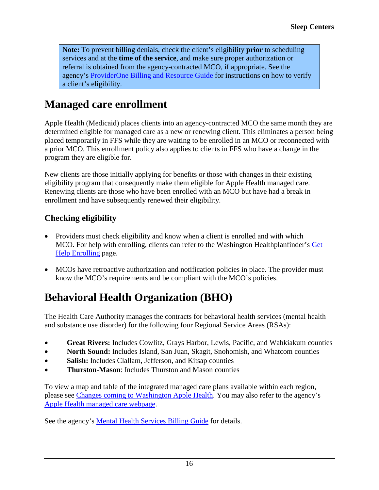**Note:** To prevent billing denials, check the client's eligibility **prior** to scheduling services and at the **time of the service**, and make sure proper authorization or referral is obtained from the agency-contracted MCO, if appropriate. See the agency's [ProviderOne Billing and Resource Guide](http://www.hca.wa.gov/node/311) for instructions on how to verify a client's eligibility.

### <span id="page-15-1"></span>**Managed care enrollment**

Apple Health (Medicaid) places clients into an agency-contracted MCO the same month they are determined eligible for managed care as a new or renewing client. This eliminates a person being placed temporarily in FFS while they are waiting to be enrolled in an MCO or reconnected with a prior MCO. This enrollment policy also applies to clients in FFS who have a change in the program they are eligible for.

New clients are those initially applying for benefits or those with changes in their existing eligibility program that consequently make them eligible for Apple Health managed care. Renewing clients are those who have been enrolled with an MCO but have had a break in enrollment and have subsequently renewed their eligibility.

#### **Checking eligibility**

- Providers must check eligibility and know when a client is enrolled and with which MCO. For help with enrolling, clients can refer to the Washington Healthplanfinder's [Get](http://www.wahbexchange.org/new-customers/application-support/customer-support-network/)  [Help Enrolling](http://www.wahbexchange.org/new-customers/application-support/customer-support-network/) page.
- MCOs have retroactive authorization and notification policies in place. The provider must know the MCO's requirements and be compliant with the MCO's policies.

## <span id="page-15-0"></span>**Behavioral Health Organization (BHO)**

The Health Care Authority manages the contracts for behavioral health services (mental health and substance use disorder) for the following four Regional Service Areas (RSAs):

- **Great Rivers:** Includes Cowlitz, Grays Harbor, Lewis, Pacific, and Wahkiakum counties
- **North Sound:** Includes Island, San Juan, Skagit, Snohomish, and Whatcom counties
- **Salish:** Includes Clallam, Jefferson, and Kitsap counties
- **Thurston-Mason**: Includes Thurston and Mason counties

To view a map and table of the integrated managed care plans available within each region, please see [Changes coming to Washington Apple Health.](https://www.hca.wa.gov/assets/free-or-low-cost/19-0025.pdf) You may also refer to the agency's [Apple Health managed care webpage.](https://www.hca.wa.gov/node/2446)

See the agency's [Mental Health Services Billing Guide](https://www.hca.wa.gov/node/301) for details.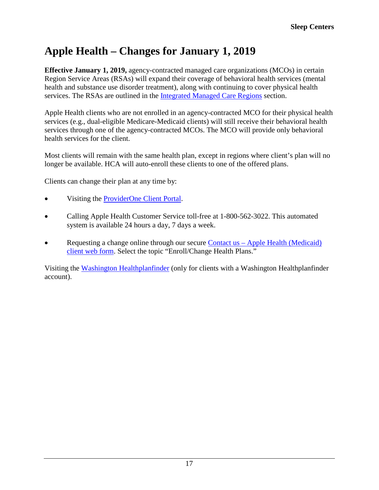### <span id="page-16-0"></span>**Apple Health – Changes for January 1, 2019**

**Effective January 1, 2019,** agency-contracted managed care organizations (MCOs) in certain Region Service Areas (RSAs) will expand their coverage of behavioral health services (mental health and substance use disorder treatment), along with continuing to cover physical health services. The RSAs are outlined in the [Integrated Managed Care Regions](#page-16-1) section.

Apple Health clients who are not enrolled in an agency-contracted MCO for their physical health services (e.g., dual-eligible Medicare-Medicaid clients) will still receive their behavioral health services through one of the agency-contracted MCOs. The MCO will provide only behavioral health services for the client.

Most clients will remain with the same health plan, except in regions where client's plan will no longer be available. HCA will auto-enroll these clients to one of the offered plans.

Clients can change their plan at any time by:

- Visiting the [ProviderOne Client Portal.](https://www.waproviderone.org/client)
- Calling Apple Health Customer Service toll-free at 1-800-562-3022. This automated system is available 24 hours a day, 7 days a week.
- Requesting a change online through our secure Contact us Apple Health (Medicaid) [client web form.](https://fortress.wa.gov/hca/p1contactus/Client_WebForm) Select the topic "Enroll/Change Health Plans."

<span id="page-16-1"></span>Visiting the [Washington Healthplanfinder](http://www.wahealthplanfinder.org/) (only for clients with a Washington Healthplanfinder account).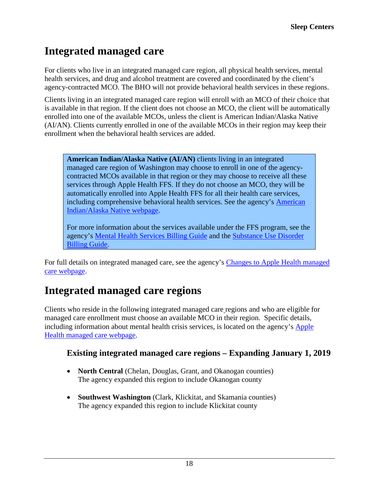## <span id="page-17-0"></span>**Integrated managed care**

For clients who live in an integrated managed care region, all physical health services, mental health services, and drug and alcohol treatment are covered and coordinated by the client's agency-contracted MCO. The BHO will not provide behavioral health services in these regions.

Clients living in an integrated managed care region will enroll with an MCO of their choice that is available in that region. If the client does not choose an MCO, the client will be automatically enrolled into one of the available MCOs, unless the client is American Indian/Alaska Native (AI/AN). Clients currently enrolled in one of the available MCOs in their region may keep their enrollment when the behavioral health services are added.

**American Indian/Alaska Native (AI/AN)** clients living in an integrated managed care region of Washington may choose to enroll in one of the agencycontracted MCOs available in that region or they may choose to receive all these services through Apple Health FFS. If they do not choose an MCO, they will be automatically enrolled into Apple Health FFS for all their health care services, including comprehensive behavioral health services. See the agency's [American](https://www.hca.wa.gov/node/826)  [Indian/Alaska Native webpage.](https://www.hca.wa.gov/node/826)

For more information about the services available under the FFS program, see the agency's [Mental Health Services Billing Guide](https://www.hca.wa.gov/node/301) and the [Substance Use Disorder](https://www.hca.wa.gov/node/301)  [Billing Guide.](https://www.hca.wa.gov/node/301)

For full details on integrated managed care, see the agency's [Changes to Apple Health managed](https://www.hca.wa.gov/node/2446)  [care webpage.](https://www.hca.wa.gov/node/2446)

## <span id="page-17-1"></span>**Integrated managed care regions**

Clients who reside in the following integrated managed care regions and who are eligible for managed care enrollment must choose an available MCO in their region. Specific details, including information about mental health crisis services, is located on the agency's Apple [Health managed care webpage.](https://www.hca.wa.gov/node/2446)

#### **Existing integrated managed care regions – Expanding January 1, 2019**

- **North Central** (Chelan, Douglas, Grant, and Okanogan counties) The agency expanded this region to include Okanogan county
- **Southwest Washington** (Clark, Klickitat, and Skamania counties) The agency expanded this region to include Klickitat county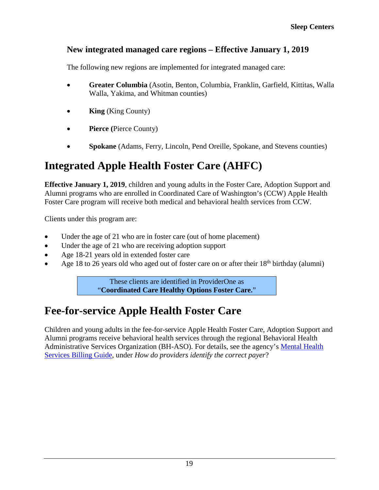#### **New integrated managed care regions – Effective January 1, 2019**

The following new regions are implemented for integrated managed care:

- **Greater Columbia** (Asotin, Benton, Columbia, Franklin, Garfield, Kittitas, Walla Walla, Yakima, and Whitman counties)
- **King** (King County)
- **Pierce (Pierce County)**
- **Spokane** (Adams, Ferry, Lincoln, Pend Oreille, Spokane, and Stevens counties)

### <span id="page-18-0"></span>**Integrated Apple Health Foster Care (AHFC)**

**Effective January 1, 2019**, children and young adults in the Foster Care, Adoption Support and Alumni programs who are enrolled in Coordinated Care of Washington's (CCW) Apple Health Foster Care program will receive both medical and behavioral health services from CCW.

Clients under this program are:

- Under the age of 21 who are in foster care (out of home placement)
- Under the age of 21 who are receiving adoption support
- Age 18-21 years old in extended foster care
- Age 18 to 26 years old who aged out of foster care on or after their  $18<sup>th</sup>$  birthday (alumni)

These clients are identified in ProviderOne as "**Coordinated Care Healthy Options Foster Care.**"

### <span id="page-18-1"></span>**Fee-for-service Apple Health Foster Care**

Children and young adults in the fee-for-service Apple Health Foster Care, Adoption Support and Alumni programs receive behavioral health services through the regional Behavioral Health Administrative Services Organization (BH-ASO). For details, see the agency's [Mental Health](https://www.hca.wa.gov/node/301)  [Services Billing Guide,](https://www.hca.wa.gov/node/301) under *How do providers identify the correct payer*?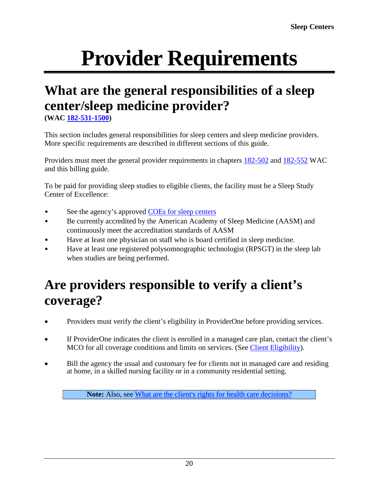# <span id="page-19-0"></span>**Provider Requirements**

# <span id="page-19-1"></span>**What are the general responsibilities of a sleep center/sleep medicine provider?**

**(WAC [182-531-1500\)](http://apps.leg.wa.gov/wac/default.aspx?cite=182-531-1500)**

This section includes general responsibilities for sleep centers and sleep medicine providers. More specific requirements are described in different sections of this guide.

Providers must meet the general provider requirements in chapters [182-502](http://app.leg.wa.gov/wac/default.aspx?cite=182-502) and [182-552](http://app.leg.wa.gov/wac/default.aspx?cite=182-552) WAC and this billing guide.

To be paid for providing sleep studies to eligible clients, the facility must be a Sleep Study Center of Excellence:

- See the agency's approved [COEs for sleep centers](https://www.hca.wa.gov/assets/billers-and-providers/index-coe-sleep-centers.pdf)
- Be currently accredited by the American Academy of Sleep Medicine (AASM) and continuously meet the accreditation standards of AASM
- Have at least one physician on staff who is board certified in sleep medicine.
- Have at least one registered polysomnographic technologist (RPSGT) in the sleep lab when studies are being performed.

# <span id="page-19-2"></span>**Are providers responsible to verify a client's coverage?**

- Providers must verify the client's eligibility in ProviderOne before providing services.
- If ProviderOne indicates the client is enrolled in a managed care plan, contact the client's MCO for all coverage conditions and limits on services. (See [Client Eligibility\)](#page-13-0).
- Bill the agency the usual and customary fee for clients not in managed care and residing at home, in a skilled nursing facility or in a community residential setting.

**Note:** Also, see [What are the client's rights for health care decisions?](#page-20-0)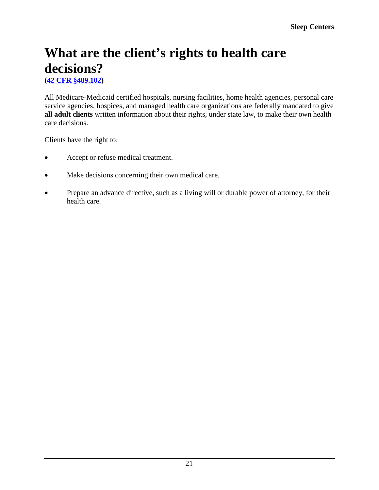# <span id="page-20-0"></span>**What are the client's rights to health care decisions?**

**[\(42 CFR §489.102\)](https://www.law.cornell.edu/cfr/text/42/489.102)**

All Medicare-Medicaid certified hospitals, nursing facilities, home health agencies, personal care service agencies, hospices, and managed health care organizations are federally mandated to give **all adult clients** written information about their rights, under state law, to make their own health care decisions.

Clients have the right to:

- Accept or refuse medical treatment.
- Make decisions concerning their own medical care.
- Prepare an advance directive, such as a living will or durable power of attorney, for their health care.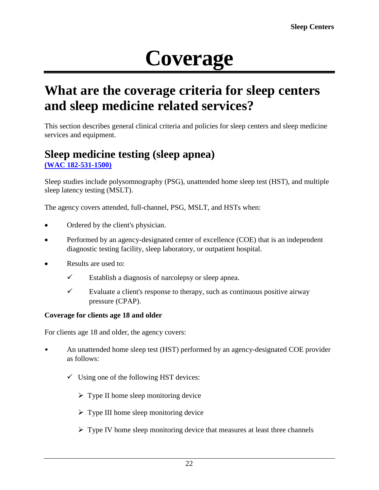# **Coverage**

## <span id="page-21-1"></span><span id="page-21-0"></span>**What are the coverage criteria for sleep centers and sleep medicine related services?**

This section describes general clinical criteria and policies for sleep centers and sleep medicine services and equipment.

#### <span id="page-21-2"></span>**Sleep medicine testing (sleep apnea) [\(WAC 182-531-1500\)](http://apps.leg.wa.gov/wac/default.aspx?cite=182-531-1500)**

Sleep studies include polysomnography (PSG), unattended home sleep test (HST), and multiple sleep latency testing (MSLT).

The agency covers attended, full-channel, PSG, MSLT, and HSTs when:

- Ordered by the client's physician.
- Performed by an agency-designated center of excellence (COE) that is an independent diagnostic testing facility, sleep laboratory, or outpatient hospital.
- Results are used to:
	- $\checkmark$  Establish a diagnosis of narcolepsy or sleep apnea.
	- Evaluate a client's response to therapy, such as continuous positive airway pressure (CPAP).

#### **Coverage for clients age 18 and older**

For clients age 18 and older, the agency covers:

- An unattended home sleep test (HST) performed by an agency-designated COE provider as follows:
	- $\checkmark$  Using one of the following HST devices:
		- $\triangleright$  Type II home sleep monitoring device
		- $\triangleright$  Type III home sleep monitoring device
		- $\triangleright$  Type IV home sleep monitoring device that measures at least three channels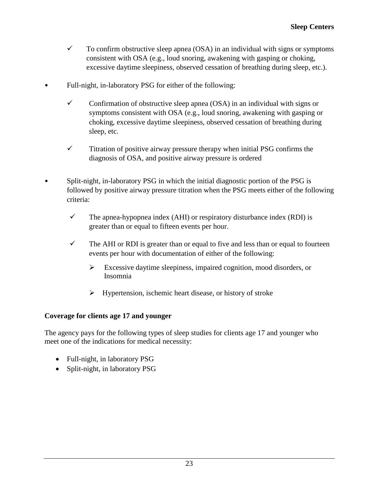- $\checkmark$  To confirm obstructive sleep apnea (OSA) in an individual with signs or symptoms consistent with OSA (e.g., loud snoring, awakening with gasping or choking, excessive daytime sleepiness, observed cessation of breathing during sleep, etc.).
- Full-night, in-laboratory PSG for either of the following:
	- $\checkmark$  Confirmation of obstructive sleep apnea (OSA) in an individual with signs or symptoms consistent with OSA (e.g., loud snoring, awakening with gasping or choking, excessive daytime sleepiness, observed cessation of breathing during sleep, etc.
	- $\checkmark$  Titration of positive airway pressure therapy when initial PSG confirms the diagnosis of OSA, and positive airway pressure is ordered
- Split-night, in-laboratory PSG in which the initial diagnostic portion of the PSG is followed by positive airway pressure titration when the PSG meets either of the following criteria:
	- $\checkmark$  The apnea-hypopnea index (AHI) or respiratory disturbance index (RDI) is greater than or equal to fifteen events per hour.
	- $\checkmark$  The AHI or RDI is greater than or equal to five and less than or equal to fourteen events per hour with documentation of either of the following:
		- $\triangleright$  Excessive daytime sleepiness, impaired cognition, mood disorders, or Insomnia
		- $\triangleright$  Hypertension, ischemic heart disease, or history of stroke

#### **Coverage for clients age 17 and younger**

The agency pays for the following types of sleep studies for clients age 17 and younger who meet one of the indications for medical necessity:

- Full-night, in laboratory PSG
- Split-night, in laboratory PSG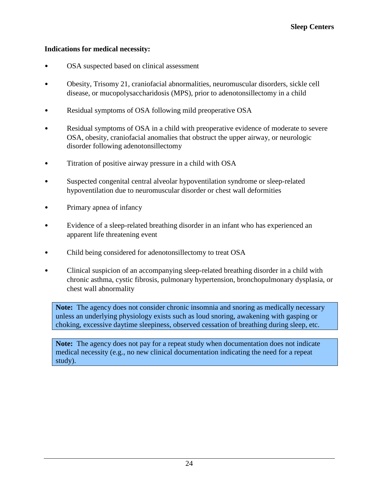#### **Indications for medical necessity:**

- OSA suspected based on clinical assessment
- Obesity, Trisomy 21, craniofacial abnormalities, neuromuscular disorders, sickle cell disease, or mucopolysaccharidosis (MPS), prior to adenotonsillectomy in a child
- Residual symptoms of OSA following mild preoperative OSA
- Residual symptoms of OSA in a child with preoperative evidence of moderate to severe OSA, obesity, craniofacial anomalies that obstruct the upper airway, or neurologic disorder following adenotonsillectomy
- Titration of positive airway pressure in a child with OSA
- Suspected congenital central alveolar hypoventilation syndrome or sleep-related hypoventilation due to neuromuscular disorder or chest wall deformities
- Primary apnea of infancy
- Evidence of a sleep-related breathing disorder in an infant who has experienced an apparent life threatening event
- Child being considered for adenotonsillectomy to treat OSA
- Clinical suspicion of an accompanying sleep-related breathing disorder in a child with chronic asthma, cystic fibrosis, pulmonary hypertension, bronchopulmonary dysplasia, or chest wall abnormality

**Note:** The agency does not consider chronic insomnia and snoring as medically necessary unless an underlying physiology exists such as loud snoring, awakening with gasping or choking, excessive daytime sleepiness, observed cessation of breathing during sleep, etc.

**Note:** The agency does not pay for a repeat study when documentation does not indicate medical necessity (e.g., no new clinical documentation indicating the need for a repeat study).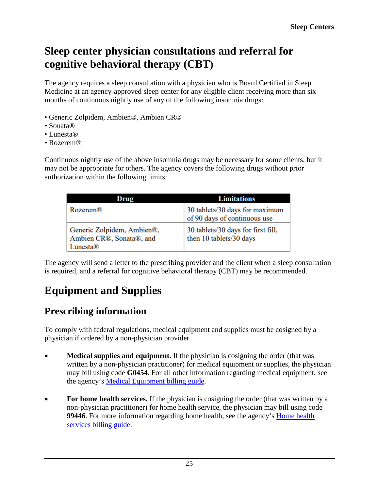### <span id="page-24-1"></span>**Sleep center physician consultations and referral for cognitive behavioral therapy (CBT)**

The agency requires a sleep consultation with a physician who is Board Certified in Sleep Medicine at an agency-approved sleep center for any eligible client receiving more than six months of continuous nightly use of any of the following insomnia drugs:

- Generic Zolpidem, Ambien®, Ambien CR®
- Sonata®
- Lunesta®
- Rozerem®

Continuous nightly use of the above insomnia drugs may be necessary for some clients, but it may not be appropriate for others. The agency covers the following drugs without prior authorization within the following limits:

| Drug                                                                           | <b>Limitations</b>                                             |
|--------------------------------------------------------------------------------|----------------------------------------------------------------|
| Rozerem®                                                                       | 30 tablets/30 days for maximum<br>of 90 days of continuous use |
| Generic Zolpidem, Ambien®,<br>Ambien CR®, Sonata®, and<br>Lunesta $\mathbb{R}$ | 30 tablets/30 days for first fill,<br>then 10 tablets/30 days  |

 The agency will send a letter to the prescribing provider and the client when a sleep consultation is required, and a referral for cognitive behavioral therapy (CBT) may be recommended.

## <span id="page-24-0"></span>**Equipment and Supplies**

#### **Prescribing information**

To comply with federal regulations, medical equipment and supplies must be cosigned by a physician if ordered by a non-physician provider.

- **Medical supplies and equipment.** If the physician is cosigning the order (that was written by a non-physician practitioner) for medical equipment or supplies, the physician may bill using code **G0454**. For all other information regarding medical equipment, see the agency's [Medical Equipment billing guide.](https://www.hca.wa.gov/billers-providers-partners/prior-authorization-claims-and-billing/provider-billing-guides-and-fee-schedules#billing-guides-fee-schedules)
- **For home health services.** If the physician is cosigning the order (that was written by a non-physician practitioner) for home health service, the physician may bill using code **99446**. For more information regarding home health, see the agency's [Home health](https://www.hca.wa.gov/billers-providers-partners/prior-authorization-claims-and-billing/provider-billing-guides-and-fee-schedules#billing-guides-fee-schedules)  [services billing guide.](https://www.hca.wa.gov/billers-providers-partners/prior-authorization-claims-and-billing/provider-billing-guides-and-fee-schedules#billing-guides-fee-schedules)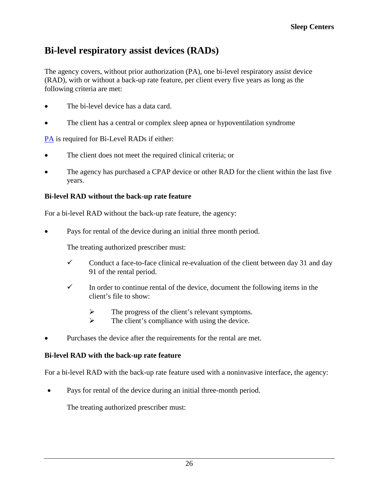#### <span id="page-25-0"></span>**Bi-level respiratory assist devices (RADs)**

The agency covers, without prior authorization (PA), one bi-level respiratory assist device (RAD), with or without a back-up rate feature, per client every five years as long as the following criteria are met:

- The bi-level device has a data card.
- The client has a central or complex sleep apnea or hypoventilation syndrome

[PA](#page-47-0) is required for Bi-Level RADs if either:

- The client does not meet the required clinical criteria; or
- The agency has purchased a CPAP device or other RAD for the client within the last five years.

#### **Bi-level RAD without the back-up rate feature**

For a bi-level RAD without the back-up rate feature, the agency:

Pays for rental of the device during an initial three month period.

The treating authorized prescriber must:

- $\checkmark$  Conduct a face-to-face clinical re-evaluation of the client between day 31 and day 91 of the rental period.
- $\checkmark$  In order to continue rental of the device, document the following items in the client's file to show:
	- $\triangleright$  The progress of the client's relevant symptoms.
	- $\triangleright$  The client's compliance with using the device.
- Purchases the device after the requirements for the rental are met.

#### **Bi-level RAD with the back-up rate feature**

For a bi-level RAD with the back-up rate feature used with a noninvasive interface, the agency:

Pays for rental of the device during an initial three-month period.

The treating authorized prescriber must: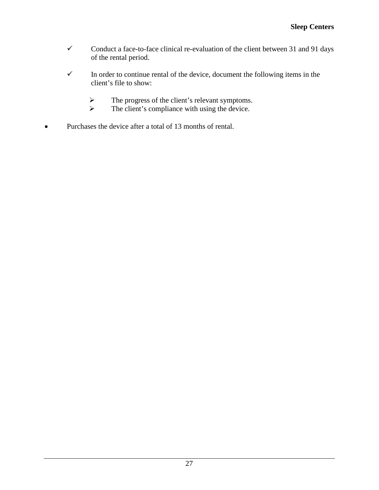- $\checkmark$  Conduct a face-to-face clinical re-evaluation of the client between 31 and 91 days of the rental period.
- $\checkmark$  In order to continue rental of the device, document the following items in the client's file to show:
	- $\triangleright$  The progress of the client's relevant symptoms.
	- $\triangleright$  The client's compliance with using the device.
- Purchases the device after a total of 13 months of rental.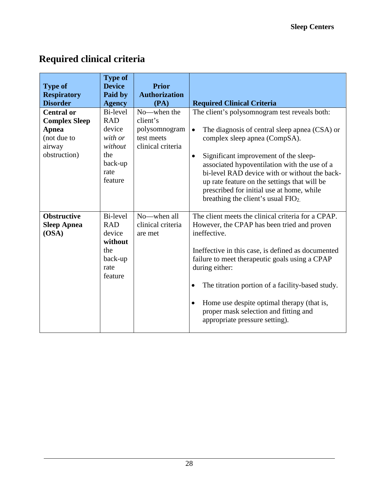## **Required clinical criteria**

|                      | <b>Type of</b> |                      |                                                               |  |  |
|----------------------|----------------|----------------------|---------------------------------------------------------------|--|--|
| <b>Type of</b>       | <b>Device</b>  | <b>Prior</b>         |                                                               |  |  |
| <b>Respiratory</b>   | Paid by        | <b>Authorization</b> |                                                               |  |  |
| <b>Disorder</b>      | <b>Agency</b>  | (PA)                 | <b>Required Clinical Criteria</b>                             |  |  |
| <b>Central or</b>    | Bi-level       | No-when the          | The client's polysomnogram test reveals both:                 |  |  |
| <b>Complex Sleep</b> | <b>RAD</b>     | client's             |                                                               |  |  |
| <b>Apnea</b>         | device         | polysomnogram        | The diagnosis of central sleep apnea (CSA) or<br>$\bullet$    |  |  |
| (not due to          | with or        | test meets           | complex sleep apnea (CompSA).                                 |  |  |
| airway               | without        | clinical criteria    |                                                               |  |  |
| obstruction)         | the            |                      | Significant improvement of the sleep-<br>$\bullet$            |  |  |
|                      | back-up        |                      | associated hypoventilation with the use of a                  |  |  |
|                      | rate           |                      | bi-level RAD device with or without the back-                 |  |  |
|                      | feature        |                      | up rate feature on the settings that will be                  |  |  |
|                      |                |                      | prescribed for initial use at home, while                     |  |  |
|                      |                |                      | breathing the client's usual FIO <sub>2</sub> .               |  |  |
|                      |                |                      |                                                               |  |  |
| <b>Obstructive</b>   | Bi-level       | No-when all          | The client meets the clinical criteria for a CPAP.            |  |  |
| <b>Sleep Apnea</b>   | <b>RAD</b>     | clinical criteria    | However, the CPAP has been tried and proven                   |  |  |
| (OSA)                | device         | are met              | ineffective.                                                  |  |  |
|                      | without        |                      |                                                               |  |  |
|                      | the            |                      | Ineffective in this case, is defined as documented            |  |  |
|                      | back-up        |                      | failure to meet therapeutic goals using a CPAP                |  |  |
|                      | rate           |                      | during either:                                                |  |  |
|                      | feature        |                      |                                                               |  |  |
|                      |                |                      | The titration portion of a facility-based study.<br>$\bullet$ |  |  |
|                      |                |                      |                                                               |  |  |
|                      |                |                      | Home use despite optimal therapy (that is,<br>$\bullet$       |  |  |
|                      |                |                      | proper mask selection and fitting and                         |  |  |
|                      |                |                      | appropriate pressure setting).                                |  |  |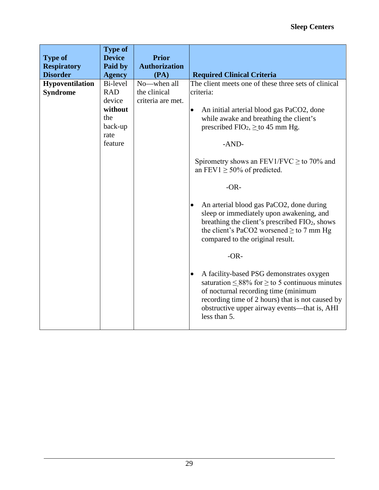| <b>Type of</b><br><b>Respiratory</b><br><b>Disorder</b> | <b>Type of</b><br><b>Device</b><br>Paid by<br><b>Agency</b> | <b>Prior</b><br><b>Authorization</b><br>(PA) | <b>Required Clinical Criteria</b>                                                                                                                                                                                                                                             |  |
|---------------------------------------------------------|-------------------------------------------------------------|----------------------------------------------|-------------------------------------------------------------------------------------------------------------------------------------------------------------------------------------------------------------------------------------------------------------------------------|--|
| <b>Hypoventilation</b>                                  | Bi-level                                                    | No-when all                                  | The client meets one of these three sets of clinical                                                                                                                                                                                                                          |  |
| <b>Syndrome</b>                                         | <b>RAD</b>                                                  | the clinical                                 | criteria:                                                                                                                                                                                                                                                                     |  |
|                                                         | device                                                      | criteria are met.                            |                                                                                                                                                                                                                                                                               |  |
|                                                         | without                                                     |                                              | An initial arterial blood gas PaCO2, done<br>$\bullet$                                                                                                                                                                                                                        |  |
|                                                         | the                                                         |                                              | while awake and breathing the client's                                                                                                                                                                                                                                        |  |
|                                                         | back-up                                                     |                                              | prescribed $FIO_2$ , $\geq$ to 45 mm Hg.                                                                                                                                                                                                                                      |  |
|                                                         | rate                                                        |                                              |                                                                                                                                                                                                                                                                               |  |
|                                                         | feature                                                     |                                              | $-AND-$                                                                                                                                                                                                                                                                       |  |
|                                                         |                                                             |                                              |                                                                                                                                                                                                                                                                               |  |
|                                                         |                                                             |                                              | Spirometry shows an FEV1/FVC $\geq$ to 70% and                                                                                                                                                                                                                                |  |
|                                                         |                                                             |                                              | an FEV1 $\geq$ 50% of predicted.                                                                                                                                                                                                                                              |  |
|                                                         |                                                             |                                              |                                                                                                                                                                                                                                                                               |  |
|                                                         |                                                             |                                              | $-OR-$                                                                                                                                                                                                                                                                        |  |
|                                                         |                                                             |                                              | An arterial blood gas PaCO2, done during<br>$\bullet$<br>sleep or immediately upon awakening, and<br>breathing the client's prescribed FIO <sub>2</sub> , shows<br>the client's PaCO2 worsened $\geq$ to 7 mm Hg<br>compared to the original result.<br>$-OR-$                |  |
|                                                         |                                                             |                                              |                                                                                                                                                                                                                                                                               |  |
|                                                         |                                                             |                                              | A facility-based PSG demonstrates oxygen<br>$\bullet$<br>saturation $\leq$ 88% for $\geq$ to 5 continuous minutes<br>of nocturnal recording time (minimum<br>recording time of 2 hours) that is not caused by<br>obstructive upper airway events—that is, AHI<br>less than 5. |  |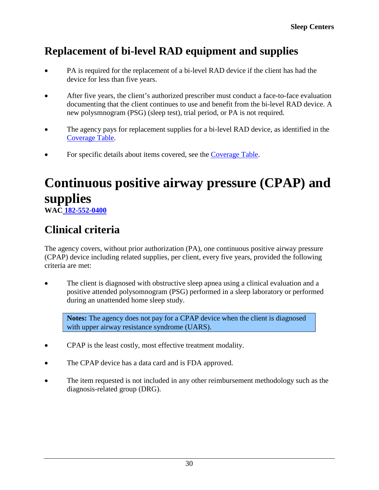## <span id="page-29-0"></span>**Replacement of bi-level RAD equipment and supplies**

- PA is required for the replacement of a bi-level RAD device if the client has had the device for less than five years.
- After five years, the client's authorized prescriber must conduct a face-to-face evaluation documenting that the client continues to use and benefit from the bi-level RAD device. A new polysmnogram (PSG) (sleep test), trial period, or PA is not required.
- The agency pays for replacement supplies for a bi-level RAD device, as identified in the [Coverage Table.](#page-36-0)
- For specific details about items covered, see the [Coverage Table.](#page-36-0)

# <span id="page-29-1"></span>**Continuous positive airway pressure (CPAP) and supplies**

**WAC [182-552-0400](http://app.leg.wa.gov/wac/default.aspx?cite=182-552-0400)**

## <span id="page-29-2"></span>**Clinical criteria**

The agency covers, without prior authorization (PA), one continuous positive airway pressure (CPAP) device including related supplies, per client, every five years, provided the following criteria are met:

The client is diagnosed with obstructive sleep apnea using a clinical evaluation and a positive attended polysomnogram (PSG) performed in a sleep laboratory or performed during an unattended home sleep study.

**Notes:** The agency does not pay for a CPAP device when the client is diagnosed with upper airway resistance syndrome (UARS).

- CPAP is the least costly, most effective treatment modality.
- The CPAP device has a data card and is FDA approved.
- The item requested is not included in any other reimbursement methodology such as the diagnosis-related group (DRG).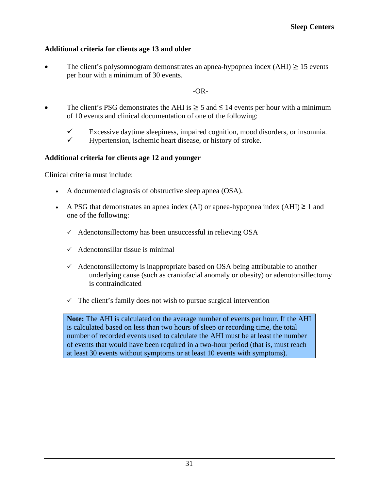#### **Additional criteria for clients age 13 and older**

• The client's polysomnogram demonstrates an apnea-hypopnea index  $(AHI) \ge 15$  events per hour with a minimum of 30 events.

#### -OR-

- The client's PSG demonstrates the AHI is  $\geq$  5 and  $\leq$  14 events per hour with a minimum of 10 events and clinical documentation of one of the following:
	- Excessive daytime sleepiness, impaired cognition, mood disorders, or insomnia.<br>
	Function is schemic heart disease or history of stroke
	- Hypertension, ischemic heart disease, or history of stroke.

#### **Additional criteria for clients age 12 and younger**

Clinical criteria must include:

- A documented diagnosis of obstructive sleep apnea (OSA).
- A PSG that demonstrates an apnea index (AI) or apnea-hypopnea index (AHI)  $\geq 1$  and one of the following:
	- $\checkmark$  Adenotonsillectomy has been unsuccessful in relieving OSA
	- $\checkmark$  Adenotonsillar tissue is minimal
	- $\checkmark$  Adenotonsillectomy is inappropriate based on OSA being attributable to another underlying cause (such as craniofacial anomaly or obesity) or adenotonsillectomy is contraindicated
	- $\checkmark$  The client's family does not wish to pursue surgical intervention

**Note:** The AHI is calculated on the average number of events per hour. If the AHI is calculated based on less than two hours of sleep or recording time, the total number of recorded events used to calculate the AHI must be at least the number of events that would have been required in a two-hour period (that is, must reach at least 30 events without symptoms or at least 10 events with symptoms).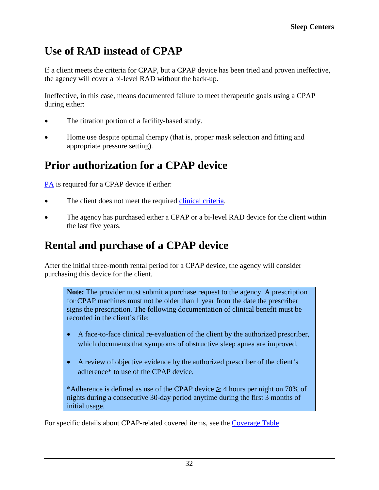### <span id="page-31-1"></span>**Use of RAD instead of CPAP**

If a client meets the criteria for CPAP, but a CPAP device has been tried and proven ineffective, the agency will cover a bi-level RAD without the back-up.

Ineffective, in this case, means documented failure to meet therapeutic goals using a CPAP during either:

- The titration portion of a facility-based study.
- Home use despite optimal therapy (that is, proper mask selection and fitting and appropriate pressure setting).

### <span id="page-31-2"></span>**Prior authorization for a CPAP device**

[PA](#page-47-0) is required for a CPAP device if either:

- The client does not meet the required [clinical criteria.](#page-29-2)
- The agency has purchased either a CPAP or a bi-level RAD device for the client within the last five years.

## <span id="page-31-0"></span>**Rental and purchase of a CPAP device**

After the initial three-month rental period for a CPAP device, the agency will consider purchasing this device for the client.

**Note:** The provider must submit a purchase request to the agency. A prescription for CPAP machines must not be older than 1 year from the date the prescriber signs the prescription. The following documentation of clinical benefit must be recorded in the client's file:

- A face-to-face clinical re-evaluation of the client by the authorized prescriber, which documents that symptoms of obstructive sleep apnea are improved.
- A review of objective evidence by the authorized prescriber of the client's adherence\* to use of the CPAP device.

\*Adherence is defined as use of the CPAP device  $\geq$  4 hours per night on 70% of nights during a consecutive 30-day period anytime during the first 3 months of initial usage.

For specific details about CPAP-related covered items, see the [Coverage Table](#page-36-0)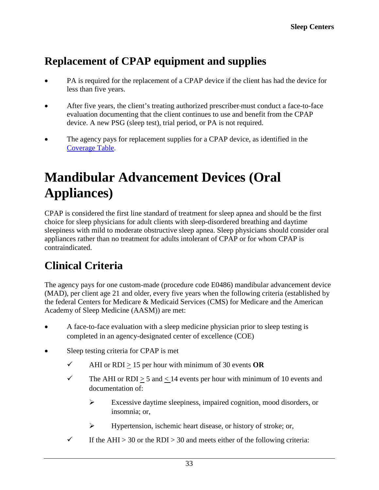## <span id="page-32-1"></span>**Replacement of CPAP equipment and supplies**

- PA is required for the replacement of a CPAP device if the client has had the device for less than five years.
- After five years, the client's treating authorized prescriber-must conduct a face-to-face evaluation documenting that the client continues to use and benefit from the CPAP device. A new PSG (sleep test), trial period, or PA is not required.
- The agency pays for replacement supplies for a CPAP device, as identified in the [Coverage Table.](#page-36-0)

# <span id="page-32-0"></span>**Mandibular Advancement Devices (Oral Appliances)**

CPAP is considered the first line standard of treatment for sleep apnea and should be the first choice for sleep physicians for adult clients with sleep-disordered breathing and daytime sleepiness with mild to moderate obstructive sleep apnea. Sleep physicians should consider oral appliances rather than no treatment for adults intolerant of CPAP or for whom CPAP is contraindicated.

## <span id="page-32-2"></span>**Clinical Criteria**

The agency pays for one custom-made (procedure code E0486) mandibular advancement device (MAD), per client age 21 and older, every five years when the following criteria (established by the federal Centers for Medicare & Medicaid Services (CMS) for Medicare and the American Academy of Sleep Medicine (AASM)) are met:

- A face-to-face evaluation with a sleep medicine physician prior to sleep testing is completed in an agency-designated center of excellence (COE)
- Sleep testing criteria for CPAP is met
	- $\checkmark$  AHI or RDI > 15 per hour with minimum of 30 events OR
	- $\checkmark$  The AHI or RDI > 5 and < 14 events per hour with minimum of 10 events and documentation of:
		- Excessive daytime sleepiness, impaired cognition, mood disorders, or insomnia; or,
		- Hypertension, ischemic heart disease, or history of stroke; or,
	- If the AHI > 30 or the RDI > 30 and meets either of the following criteria: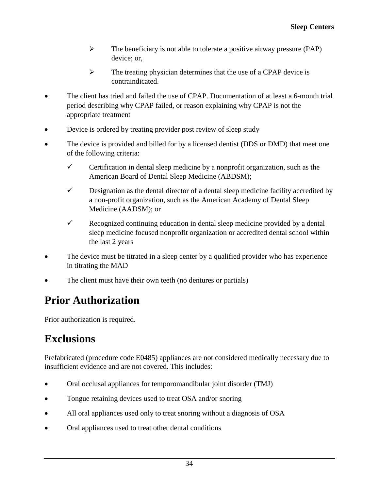- $\triangleright$  The beneficiary is not able to tolerate a positive airway pressure (PAP) device; or,
- $\triangleright$  The treating physician determines that the use of a CPAP device is contraindicated.
- The client has tried and failed the use of CPAP. Documentation of at least a 6-month trial period describing why CPAP failed, or reason explaining why CPAP is not the appropriate treatment
- Device is ordered by treating provider post review of sleep study
- The device is provided and billed for by a licensed dentist (DDS or DMD) that meet one of the following criteria:
	- $\checkmark$  Certification in dental sleep medicine by a nonprofit organization, such as the American Board of Dental Sleep Medicine (ABDSM);
	- $\checkmark$  Designation as the dental director of a dental sleep medicine facility accredited by a non-profit organization, such as the American Academy of Dental Sleep Medicine (AADSM); or
	- $\checkmark$  Recognized continuing education in dental sleep medicine provided by a dental sleep medicine focused nonprofit organization or accredited dental school within the last 2 years
- The device must be titrated in a sleep center by a qualified provider who has experience in titrating the MAD
- The client must have their own teeth (no dentures or partials)

## <span id="page-33-0"></span>**Prior Authorization**

Prior authorization is required.

## <span id="page-33-1"></span>**Exclusions**

Prefabricated (procedure code E0485) appliances are not considered medically necessary due to insufficient evidence and are not covered. This includes:

- Oral occlusal appliances for temporomandibular joint disorder (TMJ)
- Tongue retaining devices used to treat OSA and/or snoring
- All oral appliances used only to treat snoring without a diagnosis of OSA
- Oral appliances used to treat other dental conditions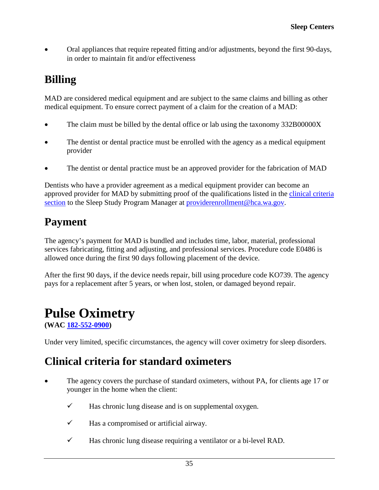• Oral appliances that require repeated fitting and/or adjustments, beyond the first 90-days, in order to maintain fit and/or effectiveness

## <span id="page-34-0"></span>**Billing**

MAD are considered medical equipment and are subject to the same claims and billing as other medical equipment. To ensure correct payment of a claim for the creation of a MAD:

- The claim must be billed by the dental office or lab using the taxonomy 332B00000X
- The dentist or dental practice must be enrolled with the agency as a medical equipment provider
- The dentist or dental practice must be an approved provider for the fabrication of MAD

Dentists who have a provider agreement as a medical equipment provider can become an approved provider for MAD by submitting proof of the qualifications listed in the clinical criteria [section](#page-32-2) to the Sleep Study Program Manager at [providerenrollment@hca.wa.gov.](mailto:providerenrollment@hca.wa.gov)

## <span id="page-34-1"></span>**Payment**

The agency's payment for MAD is bundled and includes time, labor, material, professional services fabricating, fitting and adjusting, and professional services. Procedure code E0486 is allowed once during the first 90 days following placement of the device.

After the first 90 days, if the device needs repair, bill using procedure code KO739. The agency pays for a replacement after 5 years, or when lost, stolen, or damaged beyond repair.

## <span id="page-34-2"></span>**Pulse Oximetry**

**(WAC [182-552-0900\)](http://app.leg.wa.gov/wac/default.aspx?cite=182-552-0900)**

Under very limited, specific circumstances, the agency will cover oximetry for sleep disorders.

### <span id="page-34-3"></span>**Clinical criteria for standard oximeters**

- The agency covers the purchase of standard oximeters, without PA, for clients age 17 or younger in the home when the client:
	- $\checkmark$  Has chronic lung disease and is on supplemental oxygen.
	- $\checkmark$  Has a compromised or artificial airway.
	- $\checkmark$  Has chronic lung disease requiring a ventilator or a bi-level RAD.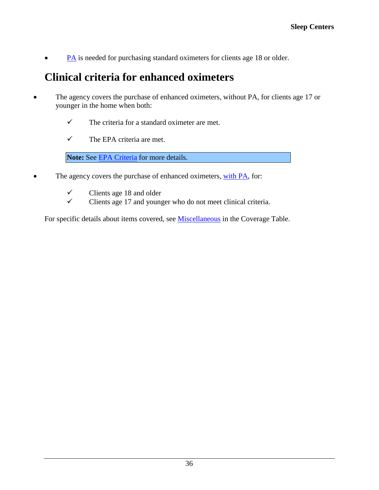[PA](#page-48-0) is needed for purchasing standard oximeters for clients age 18 or older.

### <span id="page-35-0"></span>**Clinical criteria for enhanced oximeters**

- The agency covers the purchase of enhanced oximeters, without PA, for clients age 17 or younger in the home when both:
	- $\checkmark$  The criteria for a standard oximeter are met.
	- $\checkmark$  The EPA criteria are met.

**Note:** See EPA Criteria for more details.

- The agency covers the purchase of enhanced oximeters, [with PA,](#page-48-0) for:
	- $\checkmark$  Clients age 18 and older<br> $\checkmark$  Clients age 17 and young
	- Clients age 17 and younger who do not meet clinical criteria.

For specific details about items covered, see **Miscellaneous** in the Coverage Table.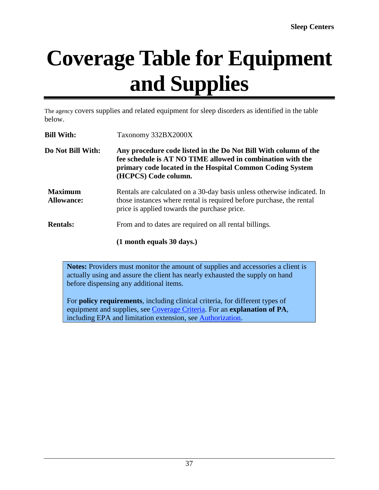# <span id="page-36-0"></span>**Coverage Table for Equipment and Supplies**

The agency covers supplies and related equipment for sleep disorders as identified in the table below.

| <b>Bill With:</b>                   | Taxonomy 332BX2000X                                                                                                                                                                                                |  |  |  |
|-------------------------------------|--------------------------------------------------------------------------------------------------------------------------------------------------------------------------------------------------------------------|--|--|--|
| Do Not Bill With:                   | Any procedure code listed in the Do Not Bill With column of the<br>fee schedule is AT NO TIME allowed in combination with the<br>primary code located in the Hospital Common Coding System<br>(HCPCS) Code column. |  |  |  |
| <b>Maximum</b><br><b>Allowance:</b> | Rentals are calculated on a 30-day basis unless otherwise indicated. In<br>those instances where rental is required before purchase, the rental<br>price is applied towards the purchase price.                    |  |  |  |
| <b>Rentals:</b>                     | From and to dates are required on all rental billings.                                                                                                                                                             |  |  |  |
|                                     | (1 month equals 30 days.)                                                                                                                                                                                          |  |  |  |

**Notes:** Providers must monitor the amount of supplies and accessories a client is actually using and assure the client has nearly exhausted the supply on hand before dispensing any additional items.

For **policy requirements**, including clinical criteria, for different types of equipment and supplies, see [Coverage Criteria.](#page-21-1) For an **explanation of PA**, including EPA and limitation extension, see [Authorization.](#page-46-0)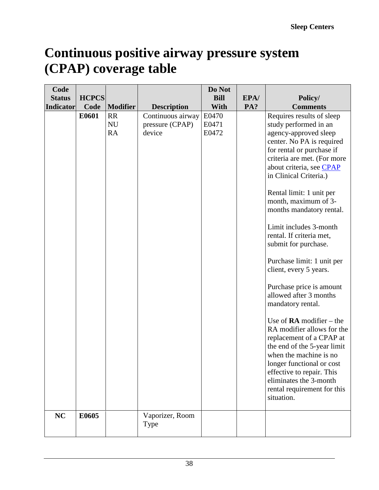# <span id="page-37-0"></span>**Continuous positive airway pressure system (CPAP) coverage table**

| Code          |              |                               |                                                | Do Not                  |      |                                                                                                                                                                                                                                                                                                                                                                                                                                                                                                                                                                                                                                                                                                                                                                                                               |
|---------------|--------------|-------------------------------|------------------------------------------------|-------------------------|------|---------------------------------------------------------------------------------------------------------------------------------------------------------------------------------------------------------------------------------------------------------------------------------------------------------------------------------------------------------------------------------------------------------------------------------------------------------------------------------------------------------------------------------------------------------------------------------------------------------------------------------------------------------------------------------------------------------------------------------------------------------------------------------------------------------------|
| <b>Status</b> | <b>HCPCS</b> |                               |                                                | <b>Bill</b>             | EPA/ | Policy/                                                                                                                                                                                                                                                                                                                                                                                                                                                                                                                                                                                                                                                                                                                                                                                                       |
| Indicator     | Code         | <b>Modifier</b>               | <b>Description</b>                             | With                    | PA?  | <b>Comments</b>                                                                                                                                                                                                                                                                                                                                                                                                                                                                                                                                                                                                                                                                                                                                                                                               |
|               | E0601        | <b>RR</b><br>${\rm NU}$<br>RA | Continuous airway<br>pressure (CPAP)<br>device | E0470<br>E0471<br>E0472 |      | Requires results of sleep<br>study performed in an<br>agency-approved sleep<br>center. No PA is required<br>for rental or purchase if<br>criteria are met. (For more<br>about criteria, see CPAP<br>in Clinical Criteria.)<br>Rental limit: 1 unit per<br>month, maximum of 3-<br>months mandatory rental.<br>Limit includes 3-month<br>rental. If criteria met,<br>submit for purchase.<br>Purchase limit: 1 unit per<br>client, every 5 years.<br>Purchase price is amount<br>allowed after 3 months<br>mandatory rental.<br>Use of $RA$ modifier – the<br>RA modifier allows for the<br>replacement of a CPAP at<br>the end of the 5-year limit<br>when the machine is no<br>longer functional or cost<br>effective to repair. This<br>eliminates the 3-month<br>rental requirement for this<br>situation. |
| <b>NC</b>     | E0605        |                               | Vaporizer, Room<br>Type                        |                         |      |                                                                                                                                                                                                                                                                                                                                                                                                                                                                                                                                                                                                                                                                                                                                                                                                               |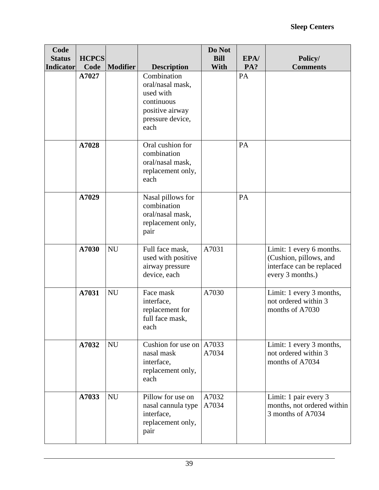| Code<br><b>Status</b> | <b>HCPCS</b> |                 |                                                                                                           | Do Not<br><b>Bill</b> | EPA/ | Policy/                                                                                             |
|-----------------------|--------------|-----------------|-----------------------------------------------------------------------------------------------------------|-----------------------|------|-----------------------------------------------------------------------------------------------------|
| Indicator             | Code         | <b>Modifier</b> | <b>Description</b>                                                                                        | With                  | PA?  | <b>Comments</b>                                                                                     |
|                       | A7027        |                 | Combination<br>oral/nasal mask,<br>used with<br>continuous<br>positive airway<br>pressure device,<br>each |                       | PA   |                                                                                                     |
|                       | A7028        |                 | Oral cushion for<br>combination<br>oral/nasal mask,<br>replacement only,<br>each                          |                       | PA   |                                                                                                     |
|                       | A7029        |                 | Nasal pillows for<br>combination<br>oral/nasal mask,<br>replacement only,<br>pair                         |                       | PA   |                                                                                                     |
|                       | A7030        | <b>NU</b>       | Full face mask,<br>used with positive<br>airway pressure<br>device, each                                  | A7031                 |      | Limit: 1 every 6 months.<br>(Cushion, pillows, and<br>interface can be replaced<br>every 3 months.) |
|                       | A7031        | <b>NU</b>       | Face mask<br>interface,<br>replacement for<br>full face mask,<br>each                                     | A7030                 |      | Limit: 1 every 3 months,<br>not ordered within 3<br>months of A7030                                 |
|                       | A7032        | <b>NU</b>       | Cushion for use on<br>nasal mask<br>interface,<br>replacement only,<br>each                               | A7033<br>A7034        |      | Limit: 1 every 3 months,<br>not ordered within 3<br>months of A7034                                 |
|                       | A7033        | <b>NU</b>       | Pillow for use on<br>nasal cannula type<br>interface,<br>replacement only,<br>pair                        | A7032<br>A7034        |      | Limit: 1 pair every 3<br>months, not ordered within<br>3 months of A7034                            |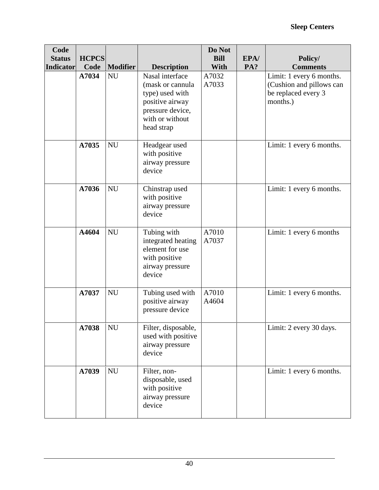| Code<br><b>Status</b> | <b>HCPCS</b>  |                       |                                                                                                                                                      | Do Not<br><b>Bill</b>  | EPA/ | Policy/                                                                                                    |
|-----------------------|---------------|-----------------------|------------------------------------------------------------------------------------------------------------------------------------------------------|------------------------|------|------------------------------------------------------------------------------------------------------------|
| <b>Indicator</b>      | Code<br>A7034 | Modifier<br><b>NU</b> | <b>Description</b><br>Nasal interface<br>(mask or cannula<br>type) used with<br>positive airway<br>pressure device,<br>with or without<br>head strap | With<br>A7032<br>A7033 | PA?  | <b>Comments</b><br>Limit: 1 every 6 months.<br>(Cushion and pillows can<br>be replaced every 3<br>months.) |
|                       | A7035         | <b>NU</b>             | Headgear used<br>with positive<br>airway pressure<br>device                                                                                          |                        |      | Limit: 1 every 6 months.                                                                                   |
|                       | A7036         | <b>NU</b>             | Chinstrap used<br>with positive<br>airway pressure<br>device                                                                                         |                        |      | Limit: 1 every 6 months.                                                                                   |
|                       | A4604         | <b>NU</b>             | Tubing with<br>integrated heating<br>element for use<br>with positive<br>airway pressure<br>device                                                   | A7010<br>A7037         |      | Limit: 1 every 6 months                                                                                    |
|                       | A7037         | NU                    | Tubing used with<br>positive airway<br>pressure device                                                                                               | A7010<br>A4604         |      | Limit: 1 every 6 months.                                                                                   |
|                       | A7038         | <b>NU</b>             | Filter, disposable,<br>used with positive<br>airway pressure<br>device                                                                               |                        |      | Limit: 2 every 30 days.                                                                                    |
|                       | A7039         | NU                    | Filter, non-<br>disposable, used<br>with positive<br>airway pressure<br>device                                                                       |                        |      | Limit: 1 every 6 months.                                                                                   |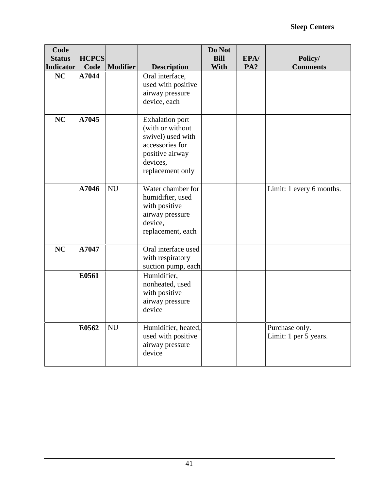| Code<br><b>Status</b><br><b>Indicator</b> | <b>HCPCS</b><br>Code | Modifier  | <b>Description</b>                                                                                                                    | Do Not<br><b>Bill</b><br>With | EPA/<br>PA? | Policy/<br><b>Comments</b>              |
|-------------------------------------------|----------------------|-----------|---------------------------------------------------------------------------------------------------------------------------------------|-------------------------------|-------------|-----------------------------------------|
| NC                                        | A7044                |           | Oral interface,<br>used with positive<br>airway pressure<br>device, each                                                              |                               |             |                                         |
| NC                                        | A7045                |           | <b>Exhalation port</b><br>(with or without<br>swivel) used with<br>accessories for<br>positive airway<br>devices,<br>replacement only |                               |             |                                         |
|                                           | A7046                | NU        | Water chamber for<br>humidifier, used<br>with positive<br>airway pressure<br>device,<br>replacement, each                             |                               |             | Limit: 1 every 6 months.                |
| <b>NC</b>                                 | A7047                |           | Oral interface used<br>with respiratory<br>suction pump, each                                                                         |                               |             |                                         |
|                                           | E0561                |           | Humidifier,<br>nonheated, used<br>with positive<br>airway pressure<br>device                                                          |                               |             |                                         |
|                                           | E0562                | <b>NU</b> | Humidifier, heated,<br>used with positive<br>airway pressure<br>device                                                                |                               |             | Purchase only.<br>Limit: 1 per 5 years. |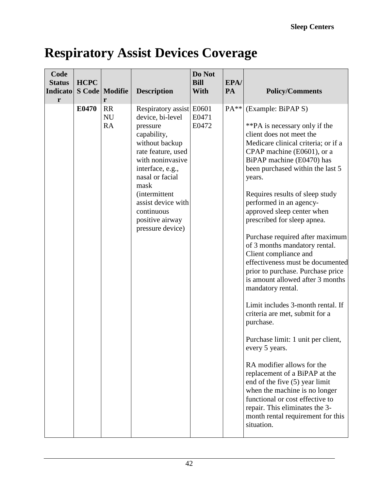# <span id="page-41-0"></span>**Respiratory Assist Devices Coverage**

| Code<br><b>Status</b><br><b>Indicato</b><br>r | <b>HCPC</b> | S Code Modifie<br>r                 | <b>Description</b>                                                                                                                                                                                                                                                                     | Do Not<br><b>Bill</b><br><b>With</b> | EPA/<br>PA | <b>Policy/Comments</b>                                                                                                                                                                                                                                                                                                                                                                                                                                                                                                                                                                                                                                                                                                                                                                                                                                                                                                                                                                          |
|-----------------------------------------------|-------------|-------------------------------------|----------------------------------------------------------------------------------------------------------------------------------------------------------------------------------------------------------------------------------------------------------------------------------------|--------------------------------------|------------|-------------------------------------------------------------------------------------------------------------------------------------------------------------------------------------------------------------------------------------------------------------------------------------------------------------------------------------------------------------------------------------------------------------------------------------------------------------------------------------------------------------------------------------------------------------------------------------------------------------------------------------------------------------------------------------------------------------------------------------------------------------------------------------------------------------------------------------------------------------------------------------------------------------------------------------------------------------------------------------------------|
|                                               | E0470       | <b>RR</b><br><b>NU</b><br><b>RA</b> | Respiratory assist E0601<br>device, bi-level<br>pressure<br>capability,<br>without backup<br>rate feature, used<br>with noninvasive<br>interface, e.g.,<br>nasal or facial<br>mask<br><i>(intermittent)</i><br>assist device with<br>continuous<br>positive airway<br>pressure device) | E0471<br>E0472                       | $PA**$     | (Example: BiPAP S)<br>**PA is necessary only if the<br>client does not meet the<br>Medicare clinical criteria; or if a<br>CPAP machine (E0601), or a<br>BiPAP machine (E0470) has<br>been purchased within the last 5<br>years.<br>Requires results of sleep study<br>performed in an agency-<br>approved sleep center when<br>prescribed for sleep apnea.<br>Purchase required after maximum<br>of 3 months mandatory rental.<br>Client compliance and<br>effectiveness must be documented<br>prior to purchase. Purchase price<br>is amount allowed after 3 months<br>mandatory rental.<br>Limit includes 3-month rental. If<br>criteria are met, submit for a<br>purchase.<br>Purchase limit: 1 unit per client,<br>every 5 years.<br>RA modifier allows for the<br>replacement of a BiPAP at the<br>end of the five (5) year limit<br>when the machine is no longer<br>functional or cost effective to<br>repair. This eliminates the 3-<br>month rental requirement for this<br>situation. |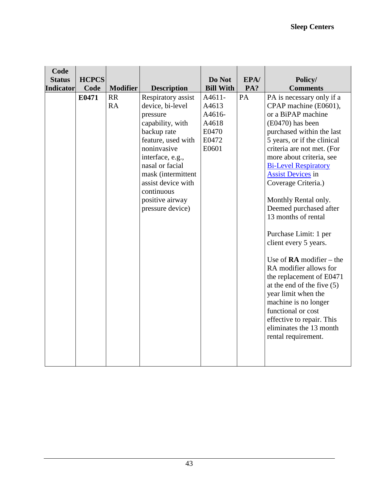| Code<br><b>Status</b> | <b>HCPCS</b> |                 |                           | Do Not           | EPA/ | Policy/                                       |
|-----------------------|--------------|-----------------|---------------------------|------------------|------|-----------------------------------------------|
| <b>Indicator</b>      | Code         | <b>Modifier</b> | <b>Description</b>        | <b>Bill With</b> | PA?  | <b>Comments</b>                               |
|                       | E0471        | <b>RR</b>       | <b>Respiratory</b> assist | A4611-           | PA   | PA is necessary only if a                     |
|                       |              | <b>RA</b>       | device, bi-level          | A4613            |      | CPAP machine (E0601),                         |
|                       |              |                 | pressure                  | A4616-           |      | or a BiPAP machine                            |
|                       |              |                 | capability, with          | A4618            |      | $(E0470)$ has been                            |
|                       |              |                 | backup rate               | E0470            |      | purchased within the last                     |
|                       |              |                 | feature, used with        | E0472            |      | 5 years, or if the clinical                   |
|                       |              |                 | noninvasive               | E0601            |      | criteria are not met. (For                    |
|                       |              |                 | interface, e.g.,          |                  |      | more about criteria, see                      |
|                       |              |                 | nasal or facial           |                  |      | <b>Bi-Level Respiratory</b>                   |
|                       |              |                 | mask (intermittent        |                  |      | <b>Assist Devices</b> in                      |
|                       |              |                 | assist device with        |                  |      | Coverage Criteria.)                           |
|                       |              |                 | continuous                |                  |      |                                               |
|                       |              |                 | positive airway           |                  |      | Monthly Rental only.                          |
|                       |              |                 | pressure device)          |                  |      | Deemed purchased after<br>13 months of rental |
|                       |              |                 |                           |                  |      |                                               |
|                       |              |                 |                           |                  |      | Purchase Limit: 1 per                         |
|                       |              |                 |                           |                  |      | client every 5 years.                         |
|                       |              |                 |                           |                  |      |                                               |
|                       |              |                 |                           |                  |      | Use of $RA$ modifier – the                    |
|                       |              |                 |                           |                  |      | RA modifier allows for                        |
|                       |              |                 |                           |                  |      | the replacement of E0471                      |
|                       |              |                 |                           |                  |      | at the end of the five $(5)$                  |
|                       |              |                 |                           |                  |      | year limit when the                           |
|                       |              |                 |                           |                  |      | machine is no longer                          |
|                       |              |                 |                           |                  |      | functional or cost                            |
|                       |              |                 |                           |                  |      | effective to repair. This                     |
|                       |              |                 |                           |                  |      | eliminates the 13 month                       |
|                       |              |                 |                           |                  |      | rental requirement.                           |
|                       |              |                 |                           |                  |      |                                               |
|                       |              |                 |                           |                  |      |                                               |
|                       |              |                 |                           |                  |      |                                               |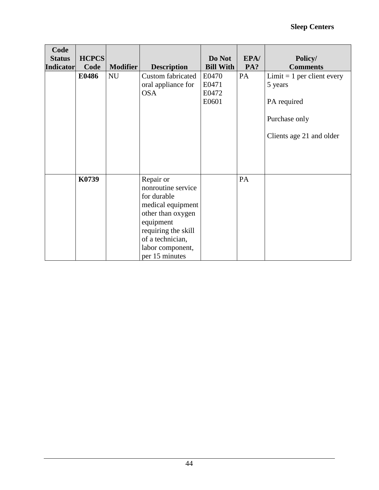| Code                              |                      |                 |                                                                                                                                                                                        |                                  |             |                                                                                                     |
|-----------------------------------|----------------------|-----------------|----------------------------------------------------------------------------------------------------------------------------------------------------------------------------------------|----------------------------------|-------------|-----------------------------------------------------------------------------------------------------|
| <b>Status</b><br><b>Indicator</b> | <b>HCPCS</b><br>Code | <b>Modifier</b> | <b>Description</b>                                                                                                                                                                     | Do Not<br><b>Bill With</b>       | EPA/<br>PA? | Policy/<br><b>Comments</b>                                                                          |
|                                   | E0486                | <b>NU</b>       | Custom fabricated<br>oral appliance for<br><b>OSA</b>                                                                                                                                  | E0470<br>E0471<br>E0472<br>E0601 | PA          | $Limit = 1$ per client every<br>5 years<br>PA required<br>Purchase only<br>Clients age 21 and older |
|                                   | K0739                |                 | Repair or<br>nonroutine service<br>for durable<br>medical equipment<br>other than oxygen<br>equipment<br>requiring the skill<br>of a technician,<br>labor component,<br>per 15 minutes |                                  | PA          |                                                                                                     |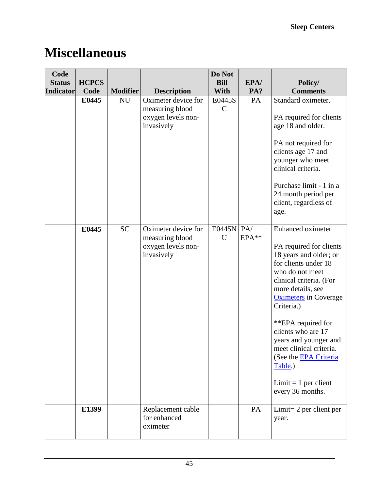# <span id="page-44-0"></span>**Miscellaneous**

| Code<br><b>Status</b> | <b>HCPCS</b> |                 |                                                                            | Do Not<br><b>Bill</b> | EPA/         |                                                                                                                                                                                                                                                                                                                                                                                                          |
|-----------------------|--------------|-----------------|----------------------------------------------------------------------------|-----------------------|--------------|----------------------------------------------------------------------------------------------------------------------------------------------------------------------------------------------------------------------------------------------------------------------------------------------------------------------------------------------------------------------------------------------------------|
| <b>Indicator</b>      | Code         | <b>Modifier</b> | <b>Description</b>                                                         | With                  | PA?          | Policy/<br><b>Comments</b>                                                                                                                                                                                                                                                                                                                                                                               |
|                       | E0445        | <b>NU</b>       | Oximeter device for<br>measuring blood<br>oxygen levels non-<br>invasively | E0445S<br>$\mathbf C$ | PA           | Standard oximeter.<br>PA required for clients<br>age 18 and older.<br>PA not required for<br>clients age 17 and<br>younger who meet<br>clinical criteria.<br>Purchase limit - 1 in a<br>24 month period per<br>client, regardless of<br>age.                                                                                                                                                             |
|                       | E0445        | <b>SC</b>       | Oximeter device for<br>measuring blood<br>oxygen levels non-<br>invasively | E0445N<br>U           | PA/<br>EPA** | Enhanced oximeter<br>PA required for clients<br>18 years and older; or<br>for clients under 18<br>who do not meet<br>clinical criteria. (For<br>more details, see<br><b>Oximeters</b> in Coverage<br>Criteria.)<br>**EPA required for<br>clients who are 17<br>years and younger and<br>meet clinical criteria.<br>(See the <b>EPA Criteria</b><br>Table.)<br>$Limit = 1 per client$<br>every 36 months. |
|                       | E1399        |                 | Replacement cable<br>for enhanced<br>oximeter                              |                       | PA           | Limit= $2$ per client per<br>year.                                                                                                                                                                                                                                                                                                                                                                       |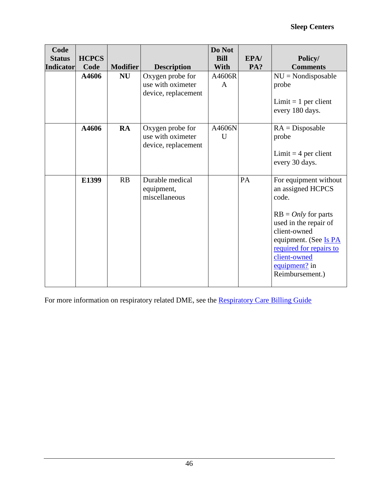| Code<br><b>Status</b><br>Indicator | <b>HCPCS</b><br>Code | <b>Modifier</b> | <b>Description</b>                                           | Do Not<br><b>Bill</b><br>With | EPA/<br>PA? | Policy/<br><b>Comments</b>                                                                                                                                                                                                           |
|------------------------------------|----------------------|-----------------|--------------------------------------------------------------|-------------------------------|-------------|--------------------------------------------------------------------------------------------------------------------------------------------------------------------------------------------------------------------------------------|
|                                    | A4606                | <b>NU</b>       | Oxygen probe for<br>use with oximeter<br>device, replacement | A4606R<br>$\mathsf{A}$        |             | $NU = Nondisposable$<br>probe<br>$Limit = 1 per client$<br>every 180 days.                                                                                                                                                           |
|                                    | A4606                | <b>RA</b>       | Oxygen probe for<br>use with oximeter<br>device, replacement | A4606N<br>$\mathbf{U}$        |             | $RA = Disposable$<br>probe<br>Limit = $4$ per client<br>every 30 days.                                                                                                                                                               |
|                                    | E1399                | <b>RB</b>       | Durable medical<br>equipment,<br>miscellaneous               |                               | PA          | For equipment without<br>an assigned HCPCS<br>code.<br>$RB = Only$ for parts<br>used in the repair of<br>client-owned<br>equipment. (See <u>Is PA</u><br>required for repairs to<br>client-owned<br>equipment? in<br>Reimbursement.) |

For more information on respiratory related DME, see the **Respiratory Care Billing Guide**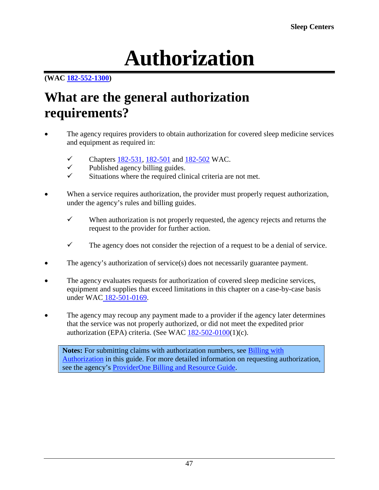# **Authorization**

#### <span id="page-46-0"></span>**(WAC [182-552-1300\)](http://app.leg.wa.gov/wac/default.aspx?cite=182-552-1300)**

# <span id="page-46-1"></span>**What are the general authorization requirements?**

- The agency requires providers to obtain authorization for covered sleep medicine services and equipment as required in:
	- Chapters  $\frac{182-531}{2}$ ,  $\frac{182-501}{2}$  and  $\frac{182-502}{2}$  WAC.
	- $\checkmark$  Published agency billing guides.<br> $\checkmark$  Situations where the required clin
	- Situations where the required clinical criteria are not met.
- When a service requires authorization, the provider must properly request authorization, under the agency's rules and billing guides.
	- $\checkmark$  When authorization is not properly requested, the agency rejects and returns the request to the provider for further action.
	- $\checkmark$  The agency does not consider the rejection of a request to be a denial of service.
- The agency's authorization of service(s) does not necessarily guarantee payment.
- The agency evaluates requests for authorization of covered sleep medicine services, equipment and supplies that exceed limitations in this chapter on a case-by-case basis under WAC [182-501-0169.](http://app.leg.wa.gov/wac/default.aspx?cite=182-501-0169)
- The agency may recoup any payment made to a provider if the agency later determines that the service was not properly authorized, or did not meet the expedited prior authorization (EPA) criteria. (See WAC  $182-502-0100(1)(c)$ .

**Notes:** For submitting claims with authorization numbers, see [Billing with](#page-53-2)  [Authorization](#page-53-2) in this guide. For more detailed information on requesting authorization, see the agency's [ProviderOne Billing and Resource Guide.](http://www.hca.wa.gov/node/311)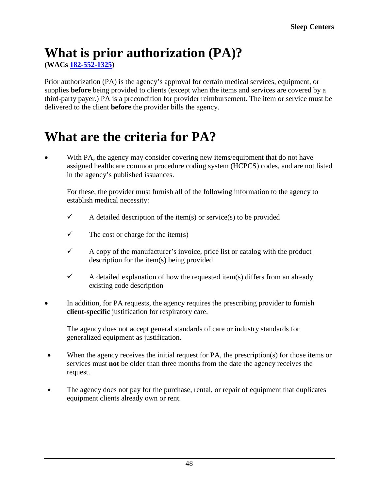# <span id="page-47-0"></span>**What is prior authorization (PA)?**

**(WACs [182-552-1325\)](http://app.leg.wa.gov/wac/default.aspx?cite=182-552-1325)**

Prior authorization (PA) is the agency's approval for certain medical services, equipment, or supplies **before** being provided to clients (except when the items and services are covered by a third-party payer.) PA is a precondition for provider reimbursement. The item or service must be delivered to the client **before** the provider bills the agency.

# <span id="page-47-1"></span>**What are the criteria for PA?**

With PA, the agency may consider covering new items/equipment that do not have assigned healthcare common procedure coding system (HCPCS) codes, and are not listed in the agency's published issuances.

For these, the provider must furnish all of the following information to the agency to establish medical necessity:

- $\checkmark$  A detailed description of the item(s) or service(s) to be provided
- $\checkmark$  The cost or charge for the item(s)
- $\checkmark$  A copy of the manufacturer's invoice, price list or catalog with the product description for the item(s) being provided
- $\checkmark$  A detailed explanation of how the requested item(s) differs from an already existing code description
- In addition, for PA requests, the agency requires the prescribing provider to furnish **client-specific** justification for respiratory care.

The agency does not accept general standards of care or industry standards for generalized equipment as justification.

- When the agency receives the initial request for PA, the prescription(s) for those items or services must **not** be older than three months from the date the agency receives the request.
- The agency does not pay for the purchase, rental, or repair of equipment that duplicates equipment clients already own or rent.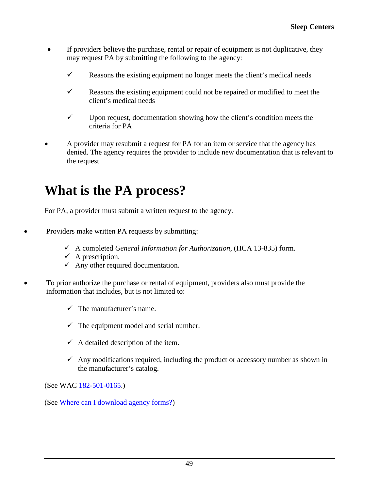- If providers believe the purchase, rental or repair of equipment is not duplicative, they may request PA by submitting the following to the agency:
	- $\checkmark$  Reasons the existing equipment no longer meets the client's medical needs
	- $\checkmark$  Reasons the existing equipment could not be repaired or modified to meet the client's medical needs
	- $\checkmark$  Upon request, documentation showing how the client's condition meets the criteria for PA
- A provider may resubmit a request for PA for an item or service that the agency has denied. The agency requires the provider to include new documentation that is relevant to the request

# <span id="page-48-0"></span>**What is the PA process?**

For PA, a provider must submit a written request to the agency.

- Providers make written PA requests by submitting:
	- A completed *General Information for Authorization*, (HCA 13-835) form.
	- $\checkmark$  A prescription.
	- $\checkmark$  Any other required documentation.
- To prior authorize the purchase or rental of equipment, providers also must provide the information that includes, but is not limited to:
	- $\checkmark$  The manufacturer's name.
	- $\checkmark$  The equipment model and serial number.
	- $\checkmark$  A detailed description of the item.
	- $\checkmark$  Any modifications required, including the product or accessory number as shown in the manufacturer's catalog.

(See WAC [182-501-0165.](http://app.leg.wa.gov/wac/default.aspx?cite=182-501-0165))

(See [Where can I download agency forms?\)](#page-2-1)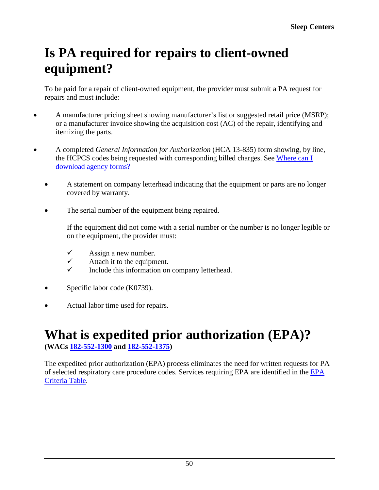# <span id="page-49-0"></span>**Is PA required for repairs to client-owned equipment?**

To be paid for a repair of client-owned equipment, the provider must submit a PA request for repairs and must include:

- A manufacturer pricing sheet showing manufacturer's list or suggested retail price (MSRP); or a manufacturer invoice showing the acquisition cost (AC) of the repair, identifying and itemizing the parts.
- A completed *General Information for Authorization* (HCA 13-835) form showing, by line, the HCPCS codes being requested with corresponding billed charges. See [Where can I](#page-2-1)  [download agency forms?](#page-2-1)
	- A statement on company letterhead indicating that the equipment or parts are no longer covered by warranty.
	- The serial number of the equipment being repaired.

If the equipment did not come with a serial number or the number is no longer legible or on the equipment, the provider must:

- $\checkmark$  Assign a new number.
- $\checkmark$  Attach it to the equipment.
- Include this information on company letterhead.
- Specific labor code (K0739).
- Actual labor time used for repairs.

#### <span id="page-49-1"></span>**What is expedited prior authorization (EPA)? (WACs [182-552-1300](http://app.leg.wa.gov/wac/default.aspx?cite=182-552-1300) and [182-552-1375\)](http://app.leg.wa.gov/wac/default.aspx?cite=182-552-1375)**

The expedited prior authorization (EPA) process eliminates the need for written requests for PA of selected respiratory care procedure codes. Services requiring EPA are identified in the [EPA](#page-51-0)  [Criteria Table.](#page-51-0)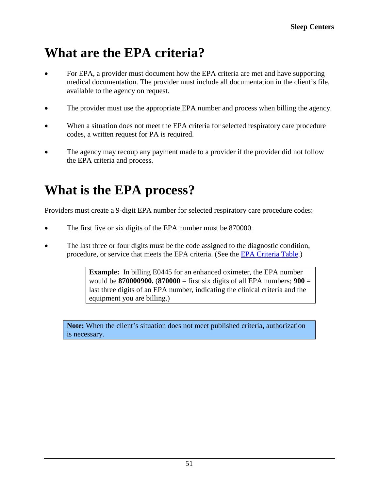# <span id="page-50-0"></span>**What are the EPA criteria?**

- For EPA, a provider must document how the EPA criteria are met and have supporting medical documentation. The provider must include all documentation in the client's file, available to the agency on request.
- The provider must use the appropriate EPA number and process when billing the agency.
- When a situation does not meet the EPA criteria for selected respiratory care procedure codes, a written request for PA is required.
- The agency may recoup any payment made to a provider if the provider did not follow the EPA criteria and process.

# <span id="page-50-1"></span>**What is the EPA process?**

Providers must create a 9-digit EPA number for selected respiratory care procedure codes:

- The first five or six digits of the EPA number must be 870000.
- The last three or four digits must be the code assigned to the diagnostic condition, procedure, or service that meets the EPA criteria. (See the [EPA Criteria Table.](#page-51-0))

**Example:** In billing E0445 for an enhanced oximeter, the EPA number would be **870000900.** (**870000** = first six digits of all EPA numbers; **900** = last three digits of an EPA number, indicating the clinical criteria and the equipment you are billing.)

**Note:** When the client's situation does not meet published criteria, authorization is necessary.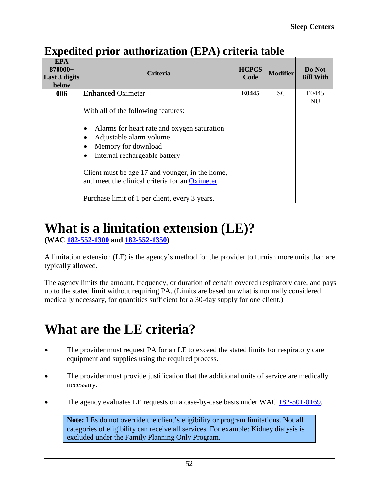| <b>EPA</b><br>870000+<br>Last 3 digits<br>below | <b>Criteria</b>                                                                                                                | <b>HCPCS</b><br>Code | <b>Modifier</b> | Do Not<br><b>Bill With</b> |
|-------------------------------------------------|--------------------------------------------------------------------------------------------------------------------------------|----------------------|-----------------|----------------------------|
| 006                                             | <b>Enhanced Oximeter</b><br>With all of the following features:                                                                | E0445                | <b>SC</b>       | E0445<br><b>NU</b>         |
|                                                 | Alarms for heart rate and oxygen saturation<br>Adjustable alarm volume<br>Memory for download<br>Internal rechargeable battery |                      |                 |                            |
|                                                 | Client must be age 17 and younger, in the home,<br>and meet the clinical criteria for an Oximeter.                             |                      |                 |                            |
|                                                 | Purchase limit of 1 per client, every 3 years.                                                                                 |                      |                 |                            |

## <span id="page-51-0"></span>**Expedited prior authorization (EPA) criteria table**

## <span id="page-51-1"></span>**What is a limitation extension (LE)?**

**(WAC [182-552-1300](http://app.leg.wa.gov/wac/default.aspx?cite=182-552-1300) and [182-552-1350\)](http://app.leg.wa.gov/wac/default.aspx?cite=182-552-1350)**

A limitation extension (LE) is the agency's method for the provider to furnish more units than are typically allowed.

The agency limits the amount, frequency, or duration of certain covered respiratory care, and pays up to the stated limit without requiring PA. (Limits are based on what is normally considered medically necessary, for quantities sufficient for a 30-day supply for one client.)

# <span id="page-51-2"></span>**What are the LE criteria?**

- The provider must request PA for an LE to exceed the stated limits for respiratory care equipment and supplies using the required process.
- The provider must provide justification that the additional units of service are medically necessary.
- The agency evaluates LE requests on a case-by-case basis under WAC [182-501-0169.](http://app.leg.wa.gov/wac/default.aspx?cite=182-501-0169)

**Note:** LEs do not override the client's eligibility or program limitations. Not all categories of eligibility can receive all services. For example: Kidney dialysis is excluded under the Family Planning Only Program.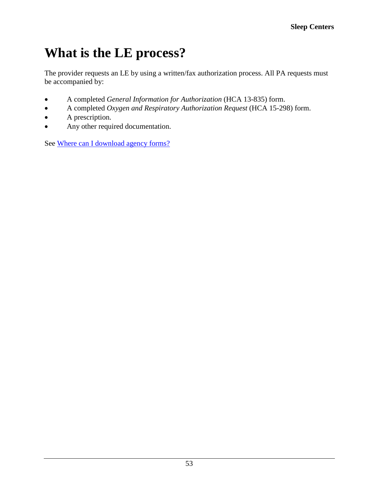# <span id="page-52-0"></span>**What is the LE process?**

The provider requests an LE by using a written/fax authorization process. All PA requests must be accompanied by:

- A completed *General Information for Authorization* (HCA 13-835) form.
- A completed *Oxygen and Respiratory Authorization Request* (HCA 15-298) form.
- A prescription.
- Any other required documentation.

See [Where can I download agency forms?](#page-2-1)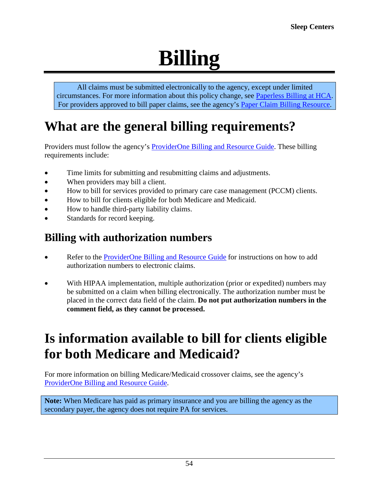# **Billing**

<span id="page-53-0"></span>All claims must be submitted electronically to the agency, except under limited circumstances. For more information about this policy change, see [Paperless Billing at HCA.](http://www.hca.wa.gov/billers-providers/providerone/providerone-billing-and-resource-guide#paperless-billing-at-hca) For providers approved to bill paper claims, see the agency's [Paper Claim Billing Resource.](http://www.hca.wa.gov/assets/billers-and-providers/paper-claim-billing-resource.pdf)

# <span id="page-53-1"></span>**What are the general billing requirements?**

Providers must follow the agency's [ProviderOne Billing and Resource Guide.](http://www.hca.wa.gov/node/311) These billing requirements include:

- Time limits for submitting and resubmitting claims and adjustments.
- When providers may bill a client.
- How to bill for services provided to primary care case management (PCCM) clients.
- How to bill for clients eligible for both Medicare and Medicaid.
- How to handle third-party liability claims.
- Standards for record keeping.

#### <span id="page-53-2"></span>**Billing with authorization numbers**

- Refer to the [ProviderOne Billing and Resource Guide](http://www.hca.wa.gov/node/311) for instructions on how to add authorization numbers to electronic claims.
- With HIPAA implementation, multiple authorization (prior or expedited) numbers may be submitted on a claim when billing electronically. The authorization number must be placed in the correct data field of the claim. **Do not put authorization numbers in the comment field, as they cannot be processed.**

# <span id="page-53-3"></span>**Is information available to bill for clients eligible for both Medicare and Medicaid?**

For more information on billing Medicare/Medicaid crossover claims, see the agency's [ProviderOne Billing and Resource Guide.](http://www.hca.wa.gov/node/311)

**Note:** When Medicare has paid as primary insurance and you are billing the agency as the secondary payer, the agency does not require PA for services.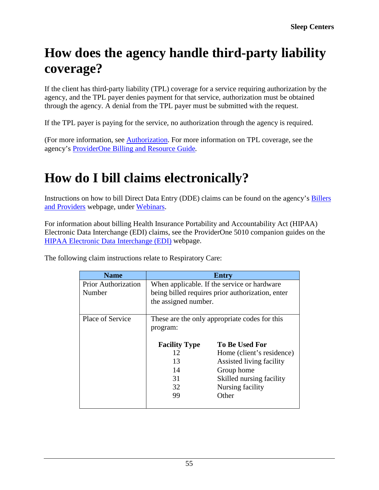# <span id="page-54-0"></span>**How does the agency handle third-party liability coverage?**

If the client has third-party liability (TPL) coverage for a service requiring authorization by the agency, and the TPL payer denies payment for that service, authorization must be obtained through the agency. A denial from the TPL payer must be submitted with the request.

If the TPL payer is paying for the service, no authorization through the agency is required.

(For more information, see [Authorization.](#page-46-0) For more information on TPL coverage, see the agency's [ProviderOne Billing and Resource Guide](http://www.hca.wa.gov/node/311)*.*

# <span id="page-54-1"></span>**How do I bill claims electronically?**

Instructions on how to bill Direct Data Entry (DDE) claims can be found on the agency's [Billers](http://hca.wa.gov/billers-providers)  [and Providers](http://hca.wa.gov/billers-providers) webpage, under [Webinars.](http://www.hca.wa.gov/node/2386)

For information about billing Health Insurance Portability and Accountability Act (HIPAA) Electronic Data Interchange (EDI) claims, see the ProviderOne 5010 companion guides on the [HIPAA Electronic Data Interchange \(EDI\)](http://www.hca.wa.gov/node/2336) webpage.

| The following claim instructions relate to Respiratory Care: |  |  |  |
|--------------------------------------------------------------|--|--|--|
|                                                              |  |  |  |

| <b>Name</b>                | <b>Entry</b>                                |                                                  |  |  |
|----------------------------|---------------------------------------------|--------------------------------------------------|--|--|
| <b>Prior Authorization</b> | When applicable. If the service or hardware |                                                  |  |  |
| Number                     |                                             | being billed requires prior authorization, enter |  |  |
|                            | the assigned number.                        |                                                  |  |  |
|                            |                                             |                                                  |  |  |
| Place of Service           |                                             | These are the only appropriate codes for this    |  |  |
|                            | program:                                    |                                                  |  |  |
|                            |                                             |                                                  |  |  |
|                            | <b>Facility Type</b>                        | <b>To Be Used For</b>                            |  |  |
|                            | 12                                          | Home (client's residence)                        |  |  |
|                            | 13                                          | Assisted living facility                         |  |  |
|                            | 14                                          | Group home                                       |  |  |
|                            | 31                                          | Skilled nursing facility                         |  |  |
|                            | 32                                          | Nursing facility                                 |  |  |
|                            | 99                                          | Other                                            |  |  |
|                            |                                             |                                                  |  |  |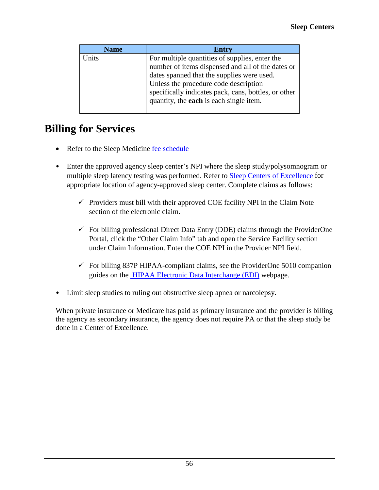| <b>Name</b>  | <b>Entry</b>                                                                                                                                                                                                                                                                                         |
|--------------|------------------------------------------------------------------------------------------------------------------------------------------------------------------------------------------------------------------------------------------------------------------------------------------------------|
| <b>Inits</b> | For multiple quantities of supplies, enter the<br>number of items dispensed and all of the dates or<br>dates spanned that the supplies were used.<br>Unless the procedure code description<br>specifically indicates pack, cans, bottles, or other<br>quantity, the <b>each</b> is each single item. |
|              |                                                                                                                                                                                                                                                                                                      |

#### <span id="page-55-0"></span>**Billing for Services**

- Refer to the Sleep Medicine [fee schedule](https://www.hca.wa.gov/billers-providers/prior-authorization-claims-and-billing/provider-billing-guides-and-fee-schedules)
- Enter the approved agency sleep center's NPI where the sleep study/polysomnogram or multiple sleep latency testing was performed. Refer to [Sleep Centers of Excellence](http://www.hca.wa.gov/assets/billers-and-providers/index-coe-sleep-centers.pdf) for appropriate location of agency-approved sleep center. Complete claims as follows:
	- $\checkmark$  Providers must bill with their approved COE facility NPI in the Claim Note section of the electronic claim.
	- $\checkmark$  For billing professional Direct Data Entry (DDE) claims through the ProviderOne Portal, click the "Other Claim Info" tab and open the Service Facility section under Claim Information. Enter the COE NPI in the Provider NPI field.
	- $\checkmark$  For billing 837P HIPAA-compliant claims, see the ProviderOne 5010 companion guides on the **HIPAA Electronic Data Interchange (EDI)** webpage.
- Limit sleep studies to ruling out obstructive sleep apnea or narcolepsy.

When private insurance or Medicare has paid as primary insurance and the provider is billing the agency as secondary insurance, the agency does not require PA or that the sleep study be done in a Center of Excellence.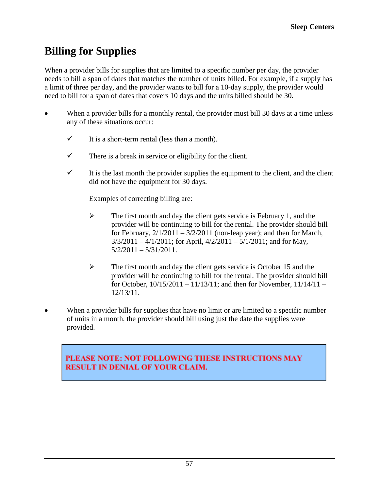## <span id="page-56-0"></span>**Billing for Supplies**

When a provider bills for supplies that are limited to a specific number per day, the provider needs to bill a span of dates that matches the number of units billed. For example, if a supply has a limit of three per day, and the provider wants to bill for a 10-day supply, the provider would need to bill for a span of dates that covers 10 days and the units billed should be 30.

- When a provider bills for a monthly rental, the provider must bill 30 days at a time unless any of these situations occur:
	- $\checkmark$  It is a short-term rental (less than a month).
	- $\checkmark$  There is a break in service or eligibility for the client.
	- $\checkmark$  It is the last month the provider supplies the equipment to the client, and the client did not have the equipment for 30 days.

Examples of correcting billing are:

- $\triangleright$  The first month and day the client gets service is February 1, and the provider will be continuing to bill for the rental. The provider should bill for February,  $2/1/2011 - 3/2/2011$  (non-leap year); and then for March, 3/3/2011 – 4/1/2011; for April, 4/2/2011 – 5/1/2011; and for May,  $5/2/2011 - 5/31/2011$ .
- $\triangleright$  The first month and day the client gets service is October 15 and the provider will be continuing to bill for the rental. The provider should bill for October,  $10/15/2011 - 11/13/11$ ; and then for November,  $11/14/11 -$ 12/13/11.
- When a provider bills for supplies that have no limit or are limited to a specific number of units in a month, the provider should bill using just the date the supplies were provided.

#### PLEASE NOTE: NOT FOLLOWING THESE INSTRUCTIONS MAY **RESULT IN DENIAL OF YOUR CLAIM.**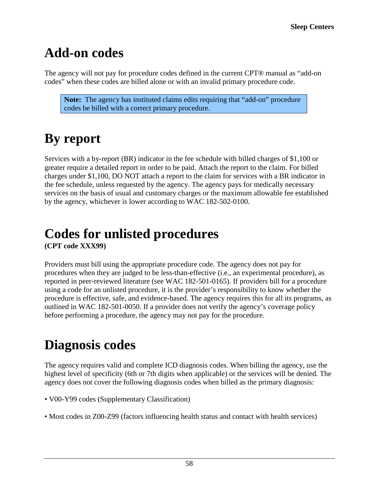# <span id="page-57-0"></span>**Add-on codes**

The agency will not pay for procedure codes defined in the current CPT® manual as "add-on codes" when these codes are billed alone or with an invalid primary procedure code.

**Note:** The agency has instituted claims edits requiring that "add-on" procedure codes be billed with a correct primary procedure.

# <span id="page-57-1"></span>**By report**

Services with a by-report (BR) indicator in the fee schedule with billed charges of \$1,100 or greater require a detailed report in order to be paid. Attach the report to the claim. For billed charges under \$1,100, DO NOT attach a report to the claim for services with a BR indicator in the fee schedule, unless requested by the agency. The agency pays for medically necessary services on the basis of usual and customary charges or the maximum allowable fee established by the agency, whichever is lower according to WAC 182-502-0100.

#### <span id="page-57-3"></span><span id="page-57-2"></span>**Codes for unlisted procedures (CPT code XXX99)**

Providers must bill using the appropriate procedure code. The agency does not pay for procedures when they are judged to be less-than-effective (i.e., an experimental procedure), as reported in peer-reviewed literature (see WAC 182-501-0165). If providers bill for a procedure using a code for an unlisted procedure, it is the provider's responsibility to know whether the procedure is effective, safe, and evidence-based. The agency requires this for all its programs, as outlined in WAC 182-501-0050. If a provider does not verify the agency's coverage policy before performing a procedure, the agency may not pay for the procedure.

# <span id="page-57-4"></span>**Diagnosis codes**

The agency requires valid and complete ICD diagnosis codes. When billing the agency, use the highest level of specificity (6th or 7th digits when applicable) or the services will be denied. The agency does not cover the following diagnosis codes when billed as the primary diagnosis:

- V00-Y99 codes (Supplementary Classification)
- Most codes in Z00-Z99 (factors influencing health status and contact with health services)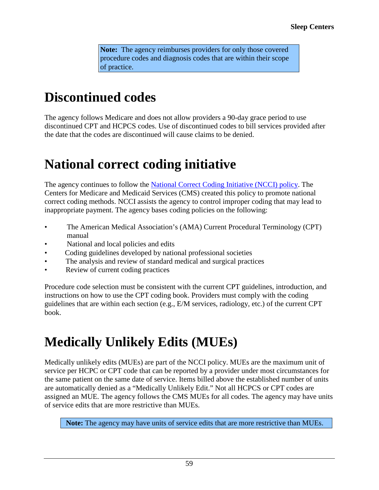**Note:** The agency reimburses providers for only those covered procedure codes and diagnosis codes that are within their scope of practice.

# <span id="page-58-0"></span>**Discontinued codes**

The agency follows Medicare and does not allow providers a 90-day grace period to use discontinued CPT and HCPCS codes. Use of discontinued codes to bill services provided after the date that the codes are discontinued will cause claims to be denied.

# <span id="page-58-1"></span>**National correct coding initiative**

The agency continues to follow the [National Correct Coding Initiative \(NCCI\) policy.](https://www.medicaid.gov/medicaid/program-integrity/ncci/index.html) The Centers for Medicare and Medicaid Services (CMS) created this policy to promote national correct coding methods. NCCI assists the agency to control improper coding that may lead to inappropriate payment. The agency bases coding policies on the following:

- The American Medical Association's (AMA) Current Procedural Terminology (CPT) manual
- National and local policies and edits
- Coding guidelines developed by national professional societies
- The analysis and review of standard medical and surgical practices
- Review of current coding practices

Procedure code selection must be consistent with the current CPT guidelines, introduction, and instructions on how to use the CPT coding book. Providers must comply with the coding guidelines that are within each section (e.g., E/M services, radiology, etc.) of the current CPT book.

# <span id="page-58-2"></span>**Medically Unlikely Edits (MUEs)**

Medically unlikely edits (MUEs) are part of the NCCI policy. MUEs are the maximum unit of service per HCPC or CPT code that can be reported by a provider under most circumstances for the same patient on the same date of service. Items billed above the established number of units are automatically denied as a "Medically Unlikely Edit." Not all HCPCS or CPT codes are assigned an MUE. The agency follows the CMS MUEs for all codes. The agency may have units of service edits that are more restrictive than MUEs.

**Note:** The agency may have units of service edits that are more restrictive than MUEs.